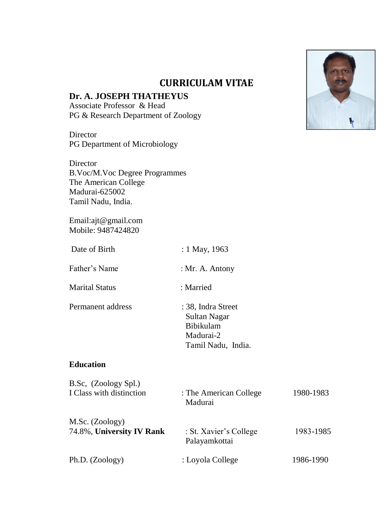

# **Dr. A. JOSEPH THATHEYUS**

Associate Professor & Head PG & Research Department of Zoology

**Director** PG Department of Microbiology

Director B.Voc/M.Voc Degree Programmes The American College Madurai-625002 Tamil Nadu, India.

Email:ajt@gmail.com Mobile: 9487424820

| Date of Birth                                    | : 1 May, 1963                                                                      |           |  |
|--------------------------------------------------|------------------------------------------------------------------------------------|-----------|--|
| Father's Name                                    | : Mr. A. Antony                                                                    |           |  |
| <b>Marital Status</b>                            | : Married                                                                          |           |  |
| Permanent address                                | : 38, Indra Street<br>Sultan Nagar<br>Bibikulam<br>Madurai-2<br>Tamil Nadu, India. |           |  |
| <b>Education</b>                                 |                                                                                    |           |  |
| B.Sc, (Zoology Spl.)<br>I Class with distinction | : The American College<br>Madurai                                                  | 1980-1983 |  |
| M.Sc. (Zoology)<br>74.8%, University IV Rank     | : St. Xavier's College<br>Palayamkottai                                            | 1983-1985 |  |
| Ph.D. (Zoology)                                  | : Loyola College                                                                   | 1986-1990 |  |

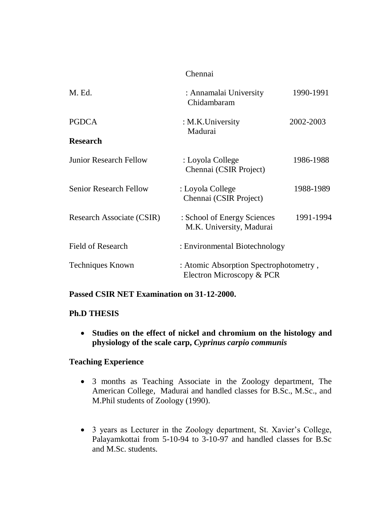#### Chennai

| M. Ed.                        | : Annamalai University<br>Chidambaram                               | 1990-1991 |
|-------------------------------|---------------------------------------------------------------------|-----------|
| <b>PGDCA</b>                  | : M.K.University<br>Madurai                                         | 2002-2003 |
| <b>Research</b>               |                                                                     |           |
| <b>Junior Research Fellow</b> | : Loyola College<br>Chennai (CSIR Project)                          | 1986-1988 |
| <b>Senior Research Fellow</b> | : Loyola College<br>Chennai (CSIR Project)                          | 1988-1989 |
| Research Associate (CSIR)     | : School of Energy Sciences<br>M.K. University, Madurai             | 1991-1994 |
| Field of Research             | : Environmental Biotechnology                                       |           |
| <b>Techniques Known</b>       | : Atomic Absorption Spectrophotometry,<br>Electron Microscopy & PCR |           |

### **Passed CSIR NET Examination on 31-12-2000.**

### **Ph.D THESIS**

 **Studies on the effect of nickel and chromium on the histology and physiology of the scale carp,** *Cyprinus carpio communis*

### **Teaching Experience**

- 3 months as Teaching Associate in the Zoology department, The American College, Madurai and handled classes for B.Sc., M.Sc., and M.Phil students of Zoology (1990).
- 3 years as Lecturer in the Zoology department, St. Xavier's College, Palayamkottai from 5-10-94 to 3-10-97 and handled classes for B.Sc and M.Sc. students.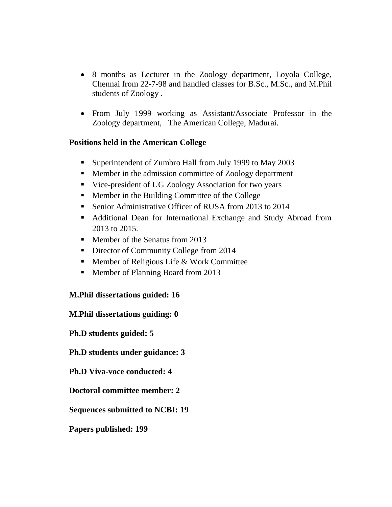- 8 months as Lecturer in the Zoology department, Loyola College, Chennai from 22-7-98 and handled classes for B.Sc., M.Sc., and M.Phil students of Zoology .
- From July 1999 working as Assistant/Associate Professor in the Zoology department, The American College, Madurai.

## **Positions held in the American College**

- **Superintendent of Zumbro Hall from July 1999 to May 2003**
- Member in the admission committee of Zoology department
- Vice-president of UG Zoology Association for two years
- Member in the Building Committee of the College
- Senior Administrative Officer of RUSA from 2013 to 2014
- Additional Dean for International Exchange and Study Abroad from 2013 to 2015.
- Member of the Senatus from 2013
- Director of Community College from 2014
- **Member of Religious Life & Work Committee**
- Member of Planning Board from 2013

## **M.Phil dissertations guided: 16**

## **M.Phil dissertations guiding: 0**

**Ph.D students guided: 5**

## **Ph.D students under guidance: 3**

**Ph.D Viva-voce conducted: 4**

**Doctoral committee member: 2**

**Sequences submitted to NCBI: 19**

**Papers published: 199**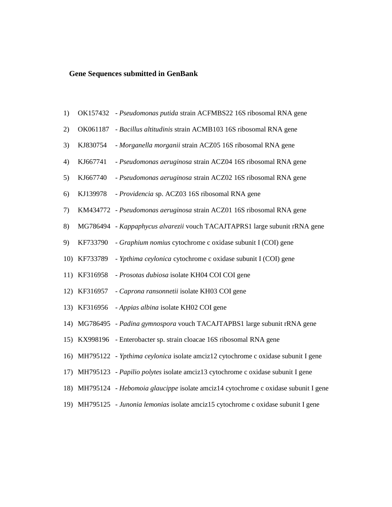#### **Gene Sequences submitted in GenBank**

- 1) OK157432 *Pseudomonas putida* strain ACFMBS22 16S ribosomal RNA gene
- 2) OK061187 *Bacillus altitudinis* strain ACMB103 16S ribosomal RNA gene
- 3) KJ830754 *Morganella morganii* strain ACZ05 16S ribosomal RNA gene
- 4) KJ667741 *Pseudomonas aeruginosa* strain ACZ04 16S ribosomal RNA gene
- 5) KJ667740 *Pseudomonas aeruginosa* strain ACZ02 16S ribosomal RNA gene
- 6) KJ139978 *Providencia* sp. ACZ03 16S ribosomal RNA gene
- 7) KM434772 *Pseudomonas aeruginosa* strain ACZ01 16S ribosomal RNA gene
- 8) MG786494 *Kappaphycus alvarezii* vouch TACAJTAPRS1 large subunit rRNA gene
- 9) KF733790 *Graphium nomius* cytochrome c oxidase subunit I (COI) gene
- 10) KF733789 *Ypthima ceylonica* cytochrome c oxidase subunit I (COI) gene
- 11) KF316958 *Prosotas dubiosa* isolate KH04 COI COI gene
- 12) KF316957 *Caprona ransonnetii* isolate KH03 COI gene
- 13) KF316956 *Appias albina* isolate KH02 COI gene
- 14) MG786495 *Padina gymnospora* vouch TACAJTAPBS1 large subunit rRNA gene
- 15) KX998196 Enterobacter sp. strain cloacae 16S ribosomal RNA gene
- 16) MH795122 *Ypthima ceylonica* isolate amciz12 cytochrome c oxidase subunit I gene
- 17) MH795123 *Papilio polytes* isolate amciz13 cytochrome c oxidase subunit I gene
- 18) MH795124 *Hebomoia glaucippe* isolate amciz14 cytochrome c oxidase subunit I gene
- 19) MH795125 *Junonia lemonias* isolate amciz15 cytochrome c oxidase subunit I gene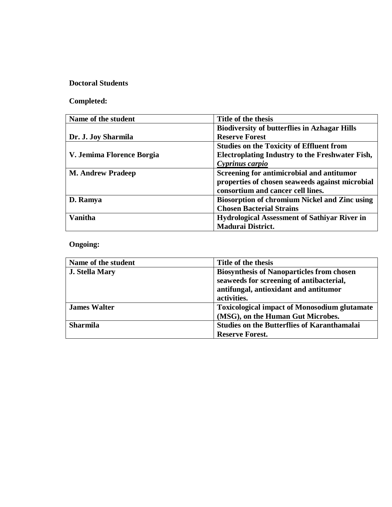## **Doctoral Students**

# **Completed:**

| Name of the student       | Title of the thesis                                    |
|---------------------------|--------------------------------------------------------|
|                           | <b>Biodiversity of butterflies in Azhagar Hills</b>    |
| Dr. J. Joy Sharmila       | <b>Reserve Forest</b>                                  |
|                           | <b>Studies on the Toxicity of Effluent from</b>        |
| V. Jemima Florence Borgia | <b>Electroplating Industry to the Freshwater Fish,</b> |
|                           | Cyprinus carpio                                        |
| <b>M. Andrew Pradeep</b>  | Screening for antimicrobial and antitumor              |
|                           | properties of chosen seaweeds against microbial        |
|                           | consortium and cancer cell lines.                      |
| D. Ramya                  | <b>Biosorption of chromium Nickel and Zinc using</b>   |
|                           | <b>Chosen Bacterial Strains</b>                        |
| <b>Vanitha</b>            | <b>Hydrological Assessment of Sathiyar River in</b>    |
|                           | <b>Madurai District.</b>                               |

# **Ongoing:**

| Name of the student   | Title of the thesis                                 |  |
|-----------------------|-----------------------------------------------------|--|
| <b>J. Stella Mary</b> | <b>Biosynthesis of Nanoparticles from chosen</b>    |  |
|                       | seaweeds for screening of antibacterial,            |  |
|                       | antifungal, antioxidant and antitumor               |  |
|                       | activities.                                         |  |
| <b>James Walter</b>   | <b>Toxicological impact of Monosodium glutamate</b> |  |
|                       | (MSG), on the Human Gut Microbes.                   |  |
| <b>Sharmila</b>       | <b>Studies on the Butterflies of Karanthamalai</b>  |  |
|                       | <b>Reserve Forest.</b>                              |  |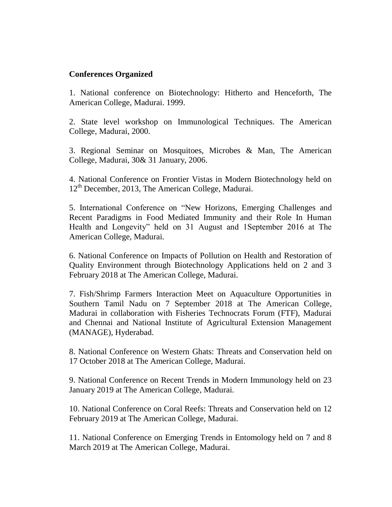## **Conferences Organized**

1. National conference on Biotechnology: Hitherto and Henceforth, The American College, Madurai. 1999.

2. State level workshop on Immunological Techniques. The American College, Madurai, 2000.

3. Regional Seminar on Mosquitoes, Microbes & Man, The American College, Madurai, 30& 31 January, 2006.

4. National Conference on Frontier Vistas in Modern Biotechnology held on  $12<sup>th</sup>$  December, 2013, The American College, Madurai.

5. International Conference on "New Horizons, Emerging Challenges and Recent Paradigms in Food Mediated Immunity and their Role In Human Health and Longevity" held on 31 August and 1September 2016 at The American College, Madurai.

6. National Conference on Impacts of Pollution on Health and Restoration of Quality Environment through Biotechnology Applications held on 2 and 3 February 2018 at The American College, Madurai.

7. Fish/Shrimp Farmers Interaction Meet on Aquaculture Opportunities in Southern Tamil Nadu on 7 September 2018 at The American College, Madurai in collaboration with Fisheries Technocrats Forum (FTF), Madurai and Chennai and National Institute of Agricultural Extension Management (MANAGE), Hyderabad.

8. National Conference on Western Ghats: Threats and Conservation held on 17 October 2018 at The American College, Madurai.

9. National Conference on Recent Trends in Modern Immunology held on 23 January 2019 at The American College, Madurai.

10. National Conference on Coral Reefs: Threats and Conservation held on 12 February 2019 at The American College, Madurai.

11. National Conference on Emerging Trends in Entomology held on 7 and 8 March 2019 at The American College, Madurai.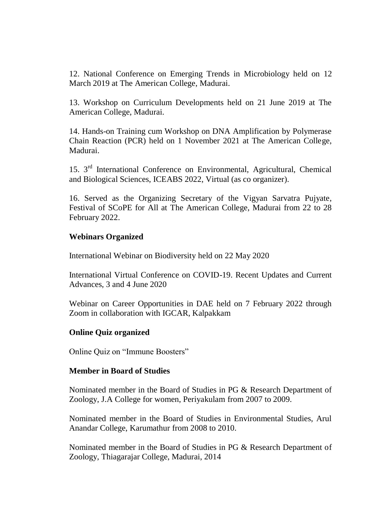12. National Conference on Emerging Trends in Microbiology held on 12 March 2019 at The American College, Madurai.

13. Workshop on Curriculum Developments held on 21 June 2019 at The American College, Madurai.

14. Hands-on Training cum Workshop on DNA Amplification by Polymerase Chain Reaction (PCR) held on 1 November 2021 at The American College, Madurai.

15. 3rd International Conference on Environmental, Agricultural, Chemical and Biological Sciences, ICEABS 2022, Virtual (as co organizer).

16. Served as the Organizing Secretary of the Vigyan Sarvatra Pujyate, Festival of SCoPE for All at The American College, Madurai from 22 to 28 February 2022.

### **Webinars Organized**

International Webinar on Biodiversity held on 22 May 2020

International Virtual Conference on COVID-19. Recent Updates and Current Advances, 3 and 4 June 2020

Webinar on Career Opportunities in DAE held on 7 February 2022 through Zoom in collaboration with IGCAR, Kalpakkam

### **Online Quiz organized**

Online Quiz on "Immune Boosters"

#### **Member in Board of Studies**

Nominated member in the Board of Studies in PG & Research Department of Zoology, J.A College for women, Periyakulam from 2007 to 2009.

Nominated member in the Board of Studies in Environmental Studies, Arul Anandar College, Karumathur from 2008 to 2010.

Nominated member in the Board of Studies in PG & Research Department of Zoology, Thiagarajar College, Madurai, 2014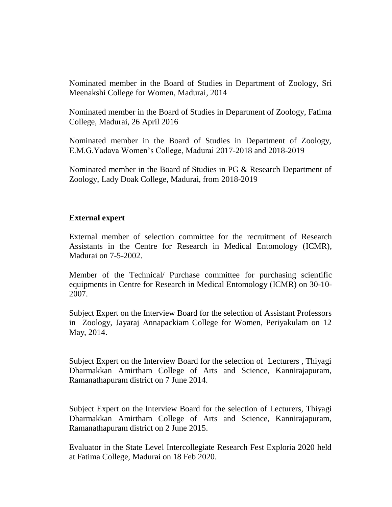Nominated member in the Board of Studies in Department of Zoology, Sri Meenakshi College for Women, Madurai, 2014

Nominated member in the Board of Studies in Department of Zoology, Fatima College, Madurai, 26 April 2016

Nominated member in the Board of Studies in Department of Zoology, E.M.G.Yadava Women"s College, Madurai 2017-2018 and 2018-2019

Nominated member in the Board of Studies in PG & Research Department of Zoology, Lady Doak College, Madurai, from 2018-2019

## **External expert**

External member of selection committee for the recruitment of Research Assistants in the Centre for Research in Medical Entomology (ICMR), Madurai on 7-5-2002.

Member of the Technical/ Purchase committee for purchasing scientific equipments in Centre for Research in Medical Entomology (ICMR) on 30-10- 2007.

Subject Expert on the Interview Board for the selection of Assistant Professors in Zoology, Jayaraj Annapackiam College for Women, Periyakulam on 12 May, 2014.

Subject Expert on the Interview Board for the selection of Lecturers , Thiyagi Dharmakkan Amirtham College of Arts and Science, Kannirajapuram, Ramanathapuram district on 7 June 2014.

Subject Expert on the Interview Board for the selection of Lecturers, Thiyagi Dharmakkan Amirtham College of Arts and Science, Kannirajapuram, Ramanathapuram district on 2 June 2015.

Evaluator in the State Level Intercollegiate Research Fest Exploria 2020 held at Fatima College, Madurai on 18 Feb 2020.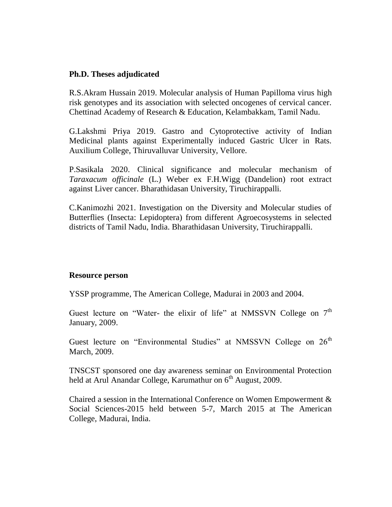#### **Ph.D. Theses adjudicated**

R.S.Akram Hussain 2019. Molecular analysis of Human Papilloma virus high risk genotypes and its association with selected oncogenes of cervical cancer. Chettinad Academy of Research & Education, Kelambakkam, Tamil Nadu.

G.Lakshmi Priya 2019. Gastro and Cytoprotective activity of Indian Medicinal plants against Experimentally induced Gastric Ulcer in Rats. Auxilium College, Thiruvalluvar University, Vellore.

P.Sasikala 2020. Clinical significance and molecular mechanism of *Taraxacum officinale* (L.) Weber ex F.H.Wigg (Dandelion) root extract against Liver cancer. Bharathidasan University, Tiruchirappalli.

C.Kanimozhi 2021. Investigation on the Diversity and Molecular studies of Butterflies (Insecta: Lepidoptera) from different Agroecosystems in selected districts of Tamil Nadu, India. Bharathidasan University, Tiruchirappalli.

#### **Resource person**

YSSP programme, The American College, Madurai in 2003 and 2004.

Guest lecture on "Water- the elixir of life" at NMSSVN College on 7<sup>th</sup> January, 2009.

Guest lecture on "Environmental Studies" at NMSSVN College on  $26<sup>th</sup>$ March, 2009.

TNSCST sponsored one day awareness seminar on Environmental Protection held at Arul Anandar College, Karumathur on  $6<sup>th</sup>$  August, 2009.

Chaired a session in the International Conference on Women Empowerment & Social Sciences-2015 held between 5-7, March 2015 at The American College, Madurai, India.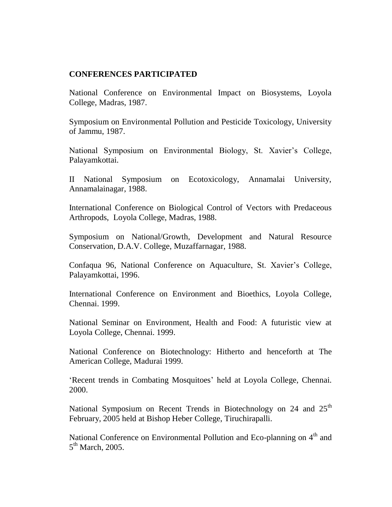## **CONFERENCES PARTICIPATED**

National Conference on Environmental Impact on Biosystems, Loyola College, Madras, 1987.

Symposium on Environmental Pollution and Pesticide Toxicology, University of Jammu, 1987.

National Symposium on Environmental Biology, St. Xavier's College, Palayamkottai.

II National Symposium on Ecotoxicology, Annamalai University, Annamalainagar, 1988.

International Conference on Biological Control of Vectors with Predaceous Arthropods, Loyola College, Madras, 1988.

Symposium on National/Growth, Development and Natural Resource Conservation, D.A.V. College, Muzaffarnagar, 1988.

Confaqua 96, National Conference on Aquaculture, St. Xavier's College, Palayamkottai, 1996.

International Conference on Environment and Bioethics, Loyola College, Chennai. 1999.

National Seminar on Environment, Health and Food: A futuristic view at Loyola College, Chennai. 1999.

National Conference on Biotechnology: Hitherto and henceforth at The American College, Madurai 1999.

"Recent trends in Combating Mosquitoes" held at Loyola College, Chennai. 2000.

National Symposium on Recent Trends in Biotechnology on 24 and 25<sup>th</sup> February, 2005 held at Bishop Heber College, Tiruchirapalli.

National Conference on Environmental Pollution and Eco-planning on 4<sup>th</sup> and 5<sup>th</sup> March, 2005.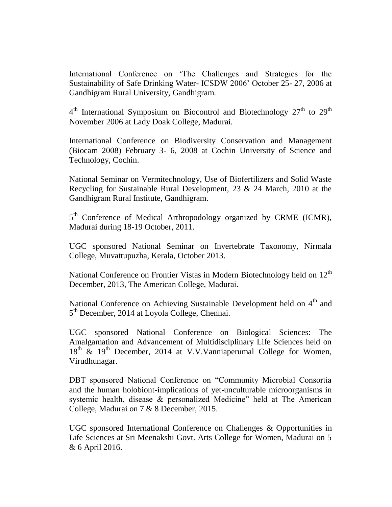International Conference on "The Challenges and Strategies for the Sustainability of Safe Drinking Water- ICSDW 2006" October 25- 27, 2006 at Gandhigram Rural University, Gandhigram.

 $4<sup>th</sup>$  International Symposium on Biocontrol and Biotechnology  $27<sup>th</sup>$  to  $29<sup>th</sup>$ November 2006 at Lady Doak College, Madurai.

International Conference on Biodiversity Conservation and Management (Biocam 2008) February 3- 6, 2008 at Cochin University of Science and Technology, Cochin.

National Seminar on Vermitechnology, Use of Biofertilizers and Solid Waste Recycling for Sustainable Rural Development, 23 & 24 March, 2010 at the Gandhigram Rural Institute, Gandhigram.

5<sup>th</sup> Conference of Medical Arthropodology organized by CRME (ICMR), Madurai during 18-19 October, 2011.

UGC sponsored National Seminar on Invertebrate Taxonomy, Nirmala College, Muvattupuzha, Kerala, October 2013.

National Conference on Frontier Vistas in Modern Biotechnology held on  $12<sup>th</sup>$ December, 2013, The American College, Madurai.

National Conference on Achieving Sustainable Development held on  $4<sup>th</sup>$  and 5<sup>th</sup> December, 2014 at Loyola College, Chennai.

UGC sponsored National Conference on Biological Sciences: The Amalgamation and Advancement of Multidisciplinary Life Sciences held on 18<sup>th</sup> & 19<sup>th</sup> December, 2014 at V.V.Vanniaperumal College for Women, Virudhunagar.

DBT sponsored National Conference on "Community Microbial Consortia and the human holobiont-implications of yet-unculturable microorganisms in systemic health, disease & personalized Medicine" held at The American College, Madurai on 7 & 8 December, 2015.

UGC sponsored International Conference on Challenges & Opportunities in Life Sciences at Sri Meenakshi Govt. Arts College for Women, Madurai on 5 & 6 April 2016.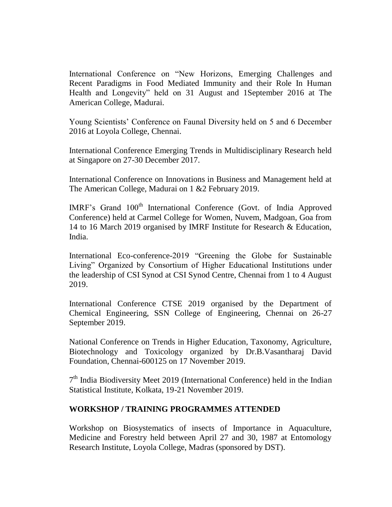International Conference on "New Horizons, Emerging Challenges and Recent Paradigms in Food Mediated Immunity and their Role In Human Health and Longevity" held on 31 August and 1September 2016 at The American College, Madurai.

Young Scientists" Conference on Faunal Diversity held on 5 and 6 December 2016 at Loyola College, Chennai.

International Conference Emerging Trends in Multidisciplinary Research held at Singapore on 27-30 December 2017.

International Conference on Innovations in Business and Management held at The American College, Madurai on 1 &2 February 2019.

IMRF's Grand 100<sup>th</sup> International Conference (Govt. of India Approved Conference) held at Carmel College for Women, Nuvem, Madgoan, Goa from 14 to 16 March 2019 organised by IMRF Institute for Research & Education, India.

International Eco-conference-2019 "Greening the Globe for Sustainable Living" Organized by Consortium of Higher Educational Institutions under the leadership of CSI Synod at CSI Synod Centre, Chennai from 1 to 4 August 2019.

International Conference CTSE 2019 organised by the Department of Chemical Engineering, SSN College of Engineering, Chennai on 26-27 September 2019.

National Conference on Trends in Higher Education, Taxonomy, Agriculture, Biotechnology and Toxicology organized by Dr.B.Vasantharaj David Foundation, Chennai-600125 on 17 November 2019.

7<sup>th</sup> India Biodiversity Meet 2019 (International Conference) held in the Indian Statistical Institute, Kolkata, 19-21 November 2019.

### **WORKSHOP / TRAINING PROGRAMMES ATTENDED**

Workshop on Biosystematics of insects of Importance in Aquaculture, Medicine and Forestry held between April 27 and 30, 1987 at Entomology Research Institute, Loyola College, Madras (sponsored by DST).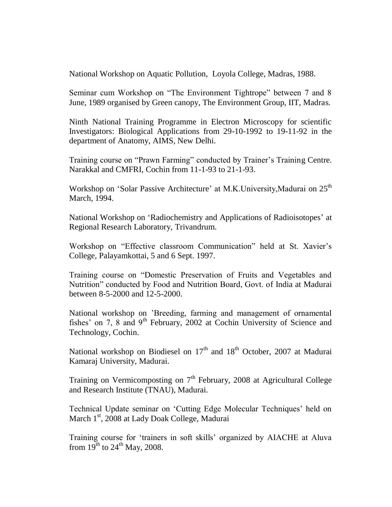National Workshop on Aquatic Pollution, Loyola College, Madras, 1988.

Seminar cum Workshop on "The Environment Tightrope" between 7 and 8 June, 1989 organised by Green canopy, The Environment Group, IIT, Madras.

Ninth National Training Programme in Electron Microscopy for scientific Investigators: Biological Applications from 29-10-1992 to 19-11-92 in the department of Anatomy, AIMS, New Delhi.

Training course on "Prawn Farming" conducted by Trainer's Training Centre. Narakkal and CMFRI, Cochin from 11-1-93 to 21-1-93.

Workshop on 'Solar Passive Architecture' at M.K.University,Madurai on 25<sup>th</sup> March, 1994.

National Workshop on "Radiochemistry and Applications of Radioisotopes" at Regional Research Laboratory, Trivandrum.

Workshop on "Effective classroom Communication" held at St. Xavier's College, Palayamkottai, 5 and 6 Sept. 1997.

Training course on "Domestic Preservation of Fruits and Vegetables and Nutrition" conducted by Food and Nutrition Board, Govt. of India at Madurai between 8-5-2000 and 12-5-2000.

National workshop on "Breeding, farming and management of ornamental fishes' on 7, 8 and 9<sup>th</sup> February, 2002 at Cochin University of Science and Technology, Cochin.

National workshop on Biodiesel on  $17<sup>th</sup>$  and  $18<sup>th</sup>$  October, 2007 at Madurai Kamaraj University, Madurai.

Training on Vermicomposting on  $7<sup>th</sup>$  February, 2008 at Agricultural College and Research Institute (TNAU), Madurai.

Technical Update seminar on 'Cutting Edge Molecular Techniques' held on March 1<sup>st</sup>, 2008 at Lady Doak College, Madurai

Training course for "trainers in soft skills" organized by AIACHE at Aluva from  $19^{th}$  to  $24^{th}$  May, 2008.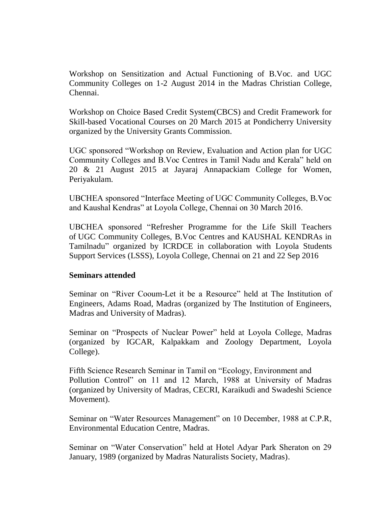Workshop on Sensitization and Actual Functioning of B.Voc. and UGC Community Colleges on 1-2 August 2014 in the Madras Christian College, Chennai.

Workshop on Choice Based Credit System(CBCS) and Credit Framework for Skill-based Vocational Courses on 20 March 2015 at Pondicherry University organized by the University Grants Commission.

UGC sponsored "Workshop on Review, Evaluation and Action plan for UGC Community Colleges and B.Voc Centres in Tamil Nadu and Kerala" held on 20 & 21 August 2015 at Jayaraj Annapackiam College for Women, Periyakulam.

UBCHEA sponsored "Interface Meeting of UGC Community Colleges, B.Voc and Kaushal Kendras" at Loyola College, Chennai on 30 March 2016.

UBCHEA sponsored "Refresher Programme for the Life Skill Teachers of UGC Community Colleges, B.Voc Centres and KAUSHAL KENDRAs in Tamilnadu" organized by ICRDCE in collaboration with Loyola Students Support Services (LSSS), Loyola College, Chennai on 21 and 22 Sep 2016

### **Seminars attended**

Seminar on "River Cooum-Let it be a Resource" held at The Institution of Engineers, Adams Road, Madras (organized by The Institution of Engineers, Madras and University of Madras).

Seminar on "Prospects of Nuclear Power" held at Loyola College, Madras (organized by IGCAR, Kalpakkam and Zoology Department, Loyola College).

Fifth Science Research Seminar in Tamil on "Ecology, Environment and Pollution Control" on 11 and 12 March, 1988 at University of Madras (organized by University of Madras, CECRI, Karaikudi and Swadeshi Science Movement).

Seminar on "Water Resources Management" on 10 December, 1988 at C.P.R, Environmental Education Centre, Madras.

Seminar on "Water Conservation" held at Hotel Adyar Park Sheraton on 29 January, 1989 (organized by Madras Naturalists Society, Madras).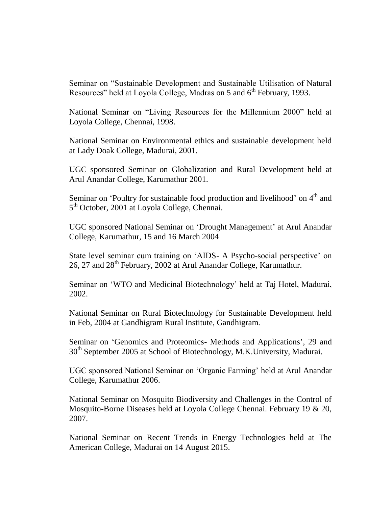Seminar on "Sustainable Development and Sustainable Utilisation of Natural Resources" held at Loyola College, Madras on 5 and  $6<sup>th</sup>$  February, 1993.

National Seminar on "Living Resources for the Millennium 2000" held at Loyola College, Chennai, 1998.

National Seminar on Environmental ethics and sustainable development held at Lady Doak College, Madurai, 2001.

UGC sponsored Seminar on Globalization and Rural Development held at Arul Anandar College, Karumathur 2001.

Seminar on 'Poultry for sustainable food production and livelihood' on 4<sup>th</sup> and 5<sup>th</sup> October, 2001 at Loyola College, Chennai.

UGC sponsored National Seminar on "Drought Management" at Arul Anandar College, Karumathur, 15 and 16 March 2004

State level seminar cum training on 'AIDS- A Psycho-social perspective' on 26, 27 and 28<sup>th</sup> February, 2002 at Arul Anandar College, Karumathur.

Seminar on 'WTO and Medicinal Biotechnology' held at Taj Hotel, Madurai, 2002.

National Seminar on Rural Biotechnology for Sustainable Development held in Feb, 2004 at Gandhigram Rural Institute, Gandhigram.

Seminar on "Genomics and Proteomics- Methods and Applications", 29 and 30<sup>th</sup> September 2005 at School of Biotechnology, M.K.University, Madurai.

UGC sponsored National Seminar on "Organic Farming" held at Arul Anandar College, Karumathur 2006.

National Seminar on Mosquito Biodiversity and Challenges in the Control of Mosquito-Borne Diseases held at Loyola College Chennai. February 19 & 20, 2007.

National Seminar on Recent Trends in Energy Technologies held at The American College, Madurai on 14 August 2015.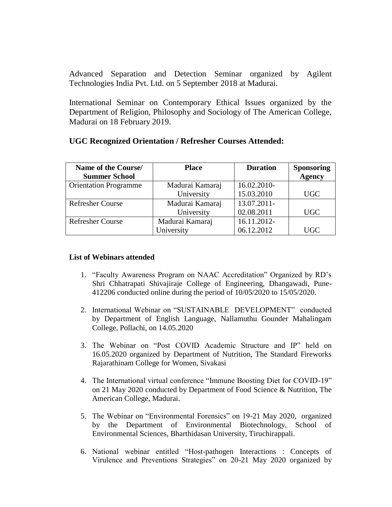Advanced Separation and Detection Seminar organized by Agilent Technologies India Pvt. Ltd. on 5 September 2018 at Madurai.

International Seminar on Contemporary Ethical Issues organized by the Department of Religion, Philosophy and Sociology of The American College, Madurai on 18 February 2019.

| Name of the Course/<br><b>Summer School</b> | <b>Place</b>    | <b>Duration</b> | <b>Sponsoring</b><br><b>Agency</b> |
|---------------------------------------------|-----------------|-----------------|------------------------------------|
| <b>Orientation Programme</b>                | Madurai Kamaraj | 16.02.2010-     |                                    |
|                                             | University      | 15.03.2010      | <b>UGC</b>                         |
| <b>Refresher Course</b>                     | Madurai Kamaraj | 13.07.2011-     |                                    |
|                                             | University      | 02.08.2011      | UGC                                |
| <b>Refresher Course</b>                     | Madurai Kamaraj | 16.11.2012-     |                                    |
|                                             | University      | 06.12.2012      | <b>UGC</b>                         |

### **UGC Recognized Orientation / Refresher Courses Attended:**

#### **List of Webinars attended**

- 1. "Faculty Awareness Program on NAAC Accreditation" Organized by RD"s Shri Chhatrapati Shivajiraje College of Engineering, Dhangawadi, Pune-412206 conducted online during the period of 10/05/2020 to 15/05/2020.
- 2. International Webinar on "SUSTAINABLE DEVELOPMENT" conducted by Department of English Language, Nallamuthu Gounder Mahalingam College, Pollachi, on 14.05.2020
- 3. The Webinar on "Post COVID Academic Structure and IP" held on 16.05.2020 organized by Department of Nutrition, The Standard Fireworks Rajarathinam College for Women, Sivakasi
- 4. The International virtual conference "Immune Boosting Diet for COVID-19" on 21 May 2020 conducted by Department of Food Science & Nutrition, The American College, Madurai.
- 5. The Webinar on "Environmental Forensics" on 19-21 May 2020, organized by the Department of Environmental Biotechnology, School of Environmental Sciences, Bharthidasan University, Tiruchirappali.
- 6. National webinar entitled "Host-pathogen Interactions : Concepts of Virulence and Preventions Strategies" on 20-21 May 2020 organized by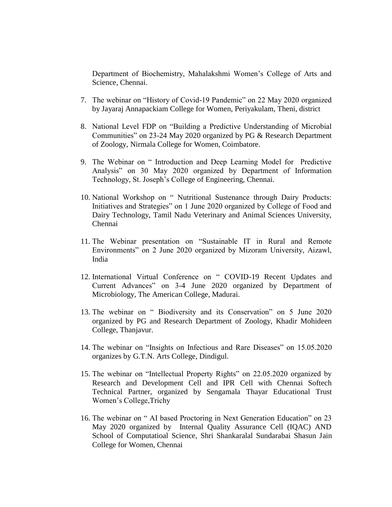Department of Biochemistry, Mahalakshmi Women"s College of Arts and Science, Chennai.

- 7. The webinar on "History of Covid-19 Pandemic" on 22 May 2020 organized by Jayaraj Annapackiam College for Women, Periyakulam, Theni, district
- 8. National Level FDP on "Building a Predictive Understanding of Microbial Communities" on 23-24 May 2020 organized by PG & Research Department of Zoology, Nirmala College for Women, Coimbatore.
- 9. The Webinar on " Introduction and Deep Learning Model for Predictive Analysis" on 30 May 2020 organized by Department of Information Technology, St. Joseph"s College of Engineering, Chennai.
- 10. National Workshop on " Nutritional Sustenance through Dairy Products: Initiatives and Strategies" on 1 June 2020 organized by College of Food and Dairy Technology, Tamil Nadu Veterinary and Animal Sciences University, Chennai
- 11. The Webinar presentation on "Sustainable IT in Rural and Remote Environments" on 2 June 2020 organized by Mizoram University, Aizawl, India
- 12. International Virtual Conference on " COVID-19 Recent Updates and Current Advances" on 3-4 June 2020 organized by Department of Microbiology, The American College, Madurai.
- 13. The webinar on " Biodiversity and its Conservation" on 5 June 2020 organized by PG and Research Department of Zoology, Khadir Mohideen College, Thanjavur.
- 14. The webinar on "Insights on Infectious and Rare Diseases" on 15.05.2020 organizes by G.T.N. Arts College, Dindigul.
- 15. The webinar on "Intellectual Property Rights" on 22.05.2020 organized by Research and Development Cell and IPR Cell with Chennai Softech Technical Partner, organized by Sengamala Thayar Educational Trust Women"s College,Trichy
- 16. The webinar on " AI based Proctoring in Next Generation Education" on 23 May 2020 organized by Internal Quality Assurance Cell (IQAC) AND School of Computatioal Science, Shri Shankaralal Sundarabai Shasun Jain College for Women, Chennai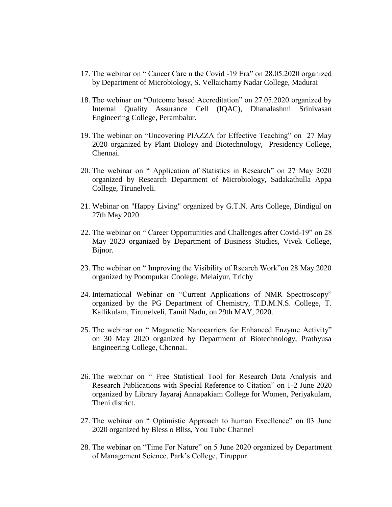- 17. The webinar on " Cancer Care n the Covid -19 Era" on 28.05.2020 organized by Department of Microbiology, S. Vellaichamy Nadar College, Madurai
- 18. The webinar on "Outcome based Accreditation" on 27.05.2020 organized by Internal Quality Assurance Cell (IQAC), Dhanalashmi Srinivasan Engineering College, Perambalur.
- 19. The webinar on "Uncovering PIAZZA for Effective Teaching" on 27 May 2020 organized by Plant Biology and Biotechnology, Presidency College, Chennai.
- 20. The webinar on " Application of Statistics in Research" on 27 May 2020 organized by Research Department of Microbiology, Sadakathulla Appa College, Tirunelveli.
- 21. Webinar on "Happy Living" organized by G.T.N. Arts College, Dindigul on 27th May 2020
- 22. The webinar on " Career Opportunities and Challenges after Covid-19" on 28 May 2020 organized by Department of Business Studies, Vivek College, Bijnor.
- 23. The webinar on " Improving the Visibility of Rsearch Work"on 28 May 2020 organized by Poompukar Coolege, Melaiyur, Trichy
- 24. International Webinar on "Current Applications of NMR Spectroscopy" organized by the PG Department of Chemistry, T.D.M.N.S. College, T. Kallikulam, Tirunelveli, Tamil Nadu, on 29th MAY, 2020.
- 25. The webinar on " Maganetic Nanocarriers for Enhanced Enzyme Activity" on 30 May 2020 organized by Department of Biotechnology, Prathyusa Engineering College, Chennai.
- 26. The webinar on " Free Statistical Tool for Research Data Analysis and Research Publications with Special Reference to Citation" on 1-2 June 2020 organized by Library Jayaraj Annapakiam College for Women, Periyakulam, Theni district.
- 27. The webinar on " Optimistic Approach to human Excellence" on 03 June 2020 organized by Bless o Bliss, You Tube Channel
- 28. The webinar on "Time For Nature" on 5 June 2020 organized by Department of Management Science, Park"s College, Tiruppur.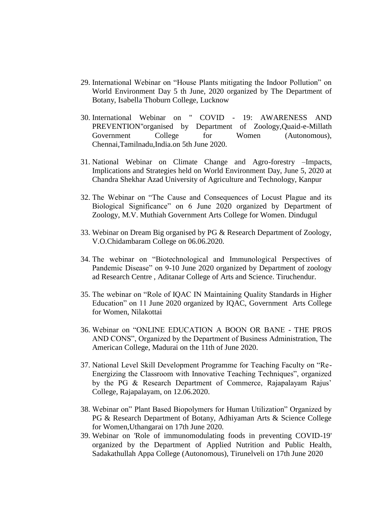- 29. International Webinar on "House Plants mitigating the Indoor Pollution" on World Environment Day 5 th June, 2020 organized by The Department of Botany, Isabella Thoburn College, Lucknow
- 30. International Webinar on " COVID 19: AWARENESS AND PREVENTION"organised by Department of Zoology,Quaid-e-Millath Government College for Women (Autonomous), Chennai,Tamilnadu,India.on 5th June 2020.
- 31. National Webinar on Climate Change and Agro-forestry –Impacts, Implications and Strategies held on World Environment Day, June 5, 2020 at Chandra Shekhar Azad University of Agriculture and Technology, Kanpur
- 32. The Webinar on "The Cause and Consequences of Locust Plague and its Biological Significance" on 6 June 2020 organized by Department of Zoology, M.V. Muthiah Government Arts College for Women. Dindugul
- 33. Webinar on Dream Big organised by PG & Research Department of Zoology, V.O.Chidambaram College on 06.06.2020.
- 34. The webinar on "Biotechnological and Immunological Perspectives of Pandemic Disease" on 9-10 June 2020 organized by Department of zoology ad Research Centre , Aditanar College of Arts and Science. Tiruchendur.
- 35. The webinar on "Role of IQAC IN Maintaining Quality Standards in Higher Education" on 11 June 2020 organized by IQAC, Government Arts College for Women, Nilakottai
- 36. Webinar on "ONLINE EDUCATION A BOON OR BANE THE PROS AND CONS", Organized by the Department of Business Administration, The American College, Madurai on the 11th of June 2020.
- 37. National Level Skill Development Programme for Teaching Faculty on "Re-Energizing the Classroom with Innovative Teaching Techniques", organized by the PG & Research Department of Commerce, Rajapalayam Rajus' College, Rajapalayam, on 12.06.2020.
- 38. Webinar on" Plant Based Biopolymers for Human Utilization" Organized by PG & Research Department of Botany, Adhiyaman Arts & Science College for Women,Uthangarai on 17th June 2020.
- 39. Webinar on 'Role of immunomodulating foods in preventing COVID-19' organized by the Department of Applied Nutrition and Public Health, Sadakathullah Appa College (Autonomous), Tirunelveli on 17th June 2020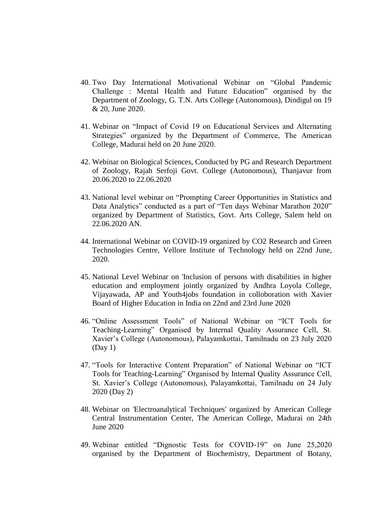- 40. Two Day International Motivational Webinar on "Global Pandemic Challenge : Mental Health and Future Education" organised by the Department of Zoology, G. T.N. Arts College (Autonomous), Dindigul on 19 & 20, June 2020.
- 41. Webinar on "Impact of Covid 19 on Educational Services and Alternating Strategies" organized by the Department of Commerce, The American College, Madurai held on 20 June 2020.
- 42. Webinar on Biological Sciences, Conducted by PG and Research Department of Zoology, Rajah Serfoji Govt. College (Autonomous), Thanjavur from 20.06.2020 to 22.06.2020
- 43. National level webinar on "Prompting Career Opportunities in Statistics and Data Analytics" conducted as a part of "Ten days Webinar Marathon 2020" organized by Department of Statistics, Govt. Arts College, Salem held on 22.06.2020 AN.
- 44. International Webinar on COVID-19 organized by CO2 Research and Green Technologies Centre, Vellore Institute of Technology held on 22nd June, 2020.
- 45. National Level Webinar on 'Inclusion of persons with disabilities in higher education and employment jointly organized by Andhra Loyola College, Vijayawada, AP and Youth4jobs foundation in colloboration with Xavier Board of Higher Education in India on 22nd and 23rd June 2020
- 46. "Online Assessment Tools" of National Webinar on "ICT Tools for Teaching-Learning" Organised by Internal Quality Assurance Cell, St. Xavier"s College (Autonomous), Palayamkottai, Tamilnadu on 23 July 2020 (Day 1)
- 47. "Tools for Interactive Content Preparation" of National Webinar on "ICT Tools for Teaching-Learning" Organised by Internal Quality Assurance Cell, St. Xavier"s College (Autonomous), Palayamkottai, Tamilnadu on 24 July 2020 (Day 2)
- 48. Webinar on 'Electroanalytical Techniques' organized by American College Central Instrumentation Center, The American College, Madurai on 24th June 2020
- 49. Webinar entitled "Dignostic Tests for COVID-19" on June 25,2020 organised by the Department of Biochemistry, Department of Botany,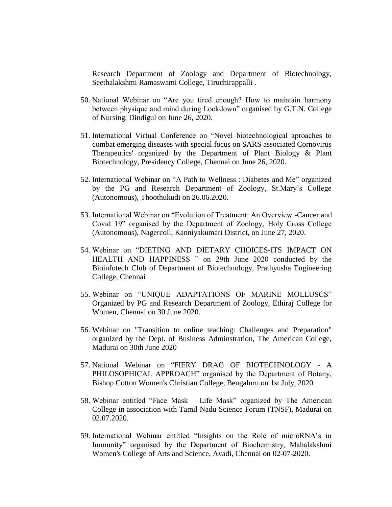Research Department of Zoology and Department of Biotechnology, Seethalakshmi Ramaswami College, Tiruchirappalli .

- 50. National Webinar on "Are you tired enough? How to maintain harmony between physique and mind during Lockdown" organised by G.T.N. College of Nursing, Dindigul on June 26, 2020.
- 51. International Virtual Conference on "Novel biotechnological aproaches to combat emerging diseases with special focus on SARS associated Cornovirus Therapeutics' organized by the Department of Plant Biology & Plant Biotechnology, Presidency College, Chennai on June 26, 2020.
- 52. International Webinar on "A Path to Wellness : Diabetes and Me" organized by the PG and Research Department of Zoology, St.Mary"s College (Autonomous), Thoothukudi on 26.06.2020.
- 53. International Webinar on "Evolution of Treatment: An Overview -Cancer and Covid 19" organised by the Department of Zoology, Holy Cross College (Autonomous), Nagercoil, Kanniyakumari District, on June 27, 2020.
- 54. Webinar on "DIETING AND DIETARY CHOICES-ITS IMPACT ON HEALTH AND HAPPINESS " on 29th June 2020 conducted by the Bioinfotech Club of Department of Biotechnology, Prathyusha Engineering College, Chennai
- 55. Webinar on "UNIQUE ADAPTATIONS OF MARINE MOLLUSCS" Organized by PG and Research Department of Zoology, Ethiraj College for Women, Chennai on 30 June 2020.
- 56. Webinar on "Transition to online teaching: Challenges and Preparation" organized by the Dept. of Business Adminstration, The American College, Madurai on 30th June 2020
- 57. National Webinar on "FIERY DRAG OF BIOTECHNOLOGY A PHILOSOPHICAL APPROACH" organised by the Department of Botany, Bishop Cotton Women's Christian College, Bengaluru on 1st July, 2020
- 58. Webinar entitled "Face Mask Life Mask" organized by The American College in association with Tamil Nadu Science Forum (TNSF), Madurai on 02.07.2020.
- 59. International Webinar entitled "Insights on the Role of microRNA"s in Immunity" organised by the Department of Biochemistry, Mahalakshmi Women's College of Arts and Science, Avadi, Chennai on 02-07-2020.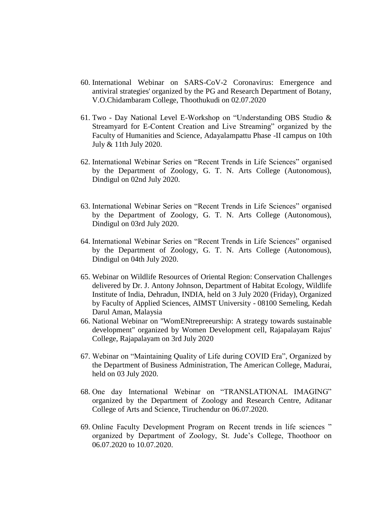- 60. International Webinar on SARS-CoV-2 Coronavirus: Emergence and antiviral strategies' organized by the PG and Research Department of Botany, V.O.Chidambaram College, Thoothukudi on 02.07.2020
- 61. Two Day National Level E-Workshop on "Understanding OBS Studio & Streamyard for E-Content Creation and Live Streaming" organized by the Faculty of Humanities and Science, Adayalampattu Phase -II campus on 10th July & 11th July 2020.
- 62. International Webinar Series on "Recent Trends in Life Sciences" organised by the Department of Zoology, G. T. N. Arts College (Autonomous), Dindigul on 02nd July 2020.
- 63. International Webinar Series on "Recent Trends in Life Sciences" organised by the Department of Zoology, G. T. N. Arts College (Autonomous), Dindigul on 03rd July 2020.
- 64. International Webinar Series on "Recent Trends in Life Sciences" organised by the Department of Zoology, G. T. N. Arts College (Autonomous), Dindigul on 04th July 2020.
- 65. Webinar on Wildlife Resources of Oriental Region: Conservation Challenges delivered by Dr. J. Antony Johnson, Department of Habitat Ecology, Wildlife Institute of India, Dehradun, INDIA, held on 3 July 2020 (Friday), Organized by Faculty of Applied Sciences, AIMST University - 08100 Semeling, Kedah Darul Aman, Malaysia
- 66. National Webinar on "WomENtrepreeurship: A strategy towards sustainable development" organized by Women Development cell, Rajapalayam Rajus' College, Rajapalayam on 3rd July 2020
- 67. Webinar on "Maintaining Quality of Life during COVID Era", Organized by the Department of Business Administration, The American College, Madurai, held on 03 July 2020.
- 68. One day International Webinar on "TRANSLATIONAL IMAGING" organized by the Department of Zoology and Research Centre, Aditanar College of Arts and Science, Tiruchendur on 06.07.2020.
- 69. Online Faculty Development Program on Recent trends in life sciences " organized by Department of Zoology, St. Jude"s College, Thoothoor on 06.07.2020 to 10.07.2020.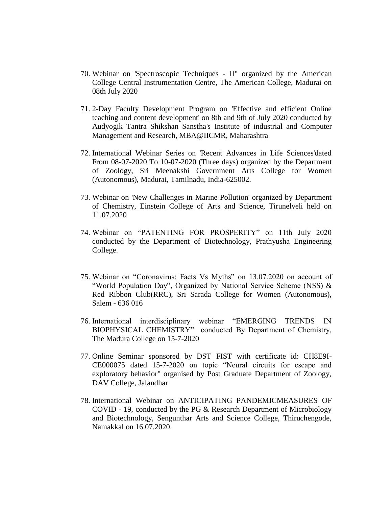- 70. Webinar on 'Spectroscopic Techniques II" organized by the American College Central Instrumentation Centre, The American College, Madurai on 08th July 2020
- 71. 2-Day Faculty Development Program on 'Effective and efficient Online teaching and content development' on 8th and 9th of July 2020 conducted by Audyogik Tantra Shikshan Sanstha's Institute of industrial and Computer Management and Research, MBA@IICMR, Maharashtra
- 72. International Webinar Series on 'Recent Advances in Life Sciences'dated From 08-07-2020 To 10-07-2020 (Three days) organized by the Department of Zoology, Sri Meenakshi Government Arts College for Women (Autonomous), Madurai, Tamilnadu, India-625002.
- 73. Webinar on 'New Challenges in Marine Pollution' organized by Department of Chemistry, Einstein College of Arts and Science, Tirunelveli held on 11.07.2020
- 74. Webinar on "PATENTING FOR PROSPERITY" on 11th July 2020 conducted by the Department of Biotechnology, Prathyusha Engineering College.
- 75. Webinar on "Coronavirus: Facts Vs Myths" on 13.07.2020 on account of "World Population Day", Organized by National Service Scheme (NSS) & Red Ribbon Club(RRC), Sri Sarada College for Women (Autonomous), Salem - 636 016
- 76. International interdisciplinary webinar "EMERGING TRENDS IN BIOPHYSICAL CHEMISTRY" conducted By Department of Chemistry, The Madura College on 15-7-2020
- 77. Online Seminar sponsored by DST FIST with certificate id: CH8E9I-CE000075 dated 15-7-2020 on topic "Neural circuits for escape and exploratory behavior" organised by Post Graduate Department of Zoology, DAV College, Jalandhar
- 78. International Webinar on ANTICIPATING PANDEMICMEASURES OF COVID - 19, conducted by the PG & Research Department of Microbiology and Biotechnology, Sengunthar Arts and Science College, Thiruchengode, Namakkal on 16.07.2020.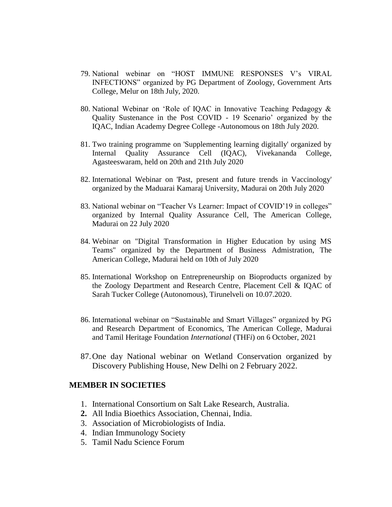- 79. National webinar on "HOST IMMUNE RESPONSES V"s VIRAL INFECTIONS" organized by PG Department of Zoology, Government Arts College, Melur on 18th July, 2020.
- 80. National Webinar on "Role of IQAC in Innovative Teaching Pedagogy & Quality Sustenance in the Post COVID - 19 Scenario" organized by the IQAC, Indian Academy Degree College -Autonomous on 18th July 2020.
- 81. Two training programme on 'Supplementing learning digitally' organized by Internal Quality Assurance Cell (IQAC), Vivekananda College, Agasteeswaram, held on 20th and 21th July 2020
- 82. International Webinar on 'Past, present and future trends in Vaccinology' organized by the Maduarai Kamaraj University, Madurai on 20th July 2020
- 83. National webinar on "Teacher Vs Learner: Impact of COVID"19 in colleges" organized by Internal Quality Assurance Cell, The American College, Madurai on 22 July 2020
- 84. Webinar on "Digital Transformation in Higher Education by using MS Teams" organized by the Department of Business Admistration, The American College, Madurai held on 10th of July 2020
- 85. International Workshop on Entrepreneurship on Bioproducts organized by the Zoology Department and Research Centre, Placement Cell & IQAC of Sarah Tucker College (Autonomous), Tirunelveli on 10.07.2020.
- 86. International webinar on "Sustainable and Smart Villages" organized by PG and Research Department of Economics, The American College, Madurai and Tamil Heritage Foundation *International* (THF*i*) on 6 October, 2021
- 87.One day National webinar on Wetland Conservation organized by Discovery Publishing House, New Delhi on 2 February 2022.

#### **MEMBER IN SOCIETIES**

- 1. International Consortium on Salt Lake Research, Australia.
- **2.** All India Bioethics Association, Chennai, India.
- 3. Association of Microbiologists of India.
- 4. Indian Immunology Society
- 5. Tamil Nadu Science Forum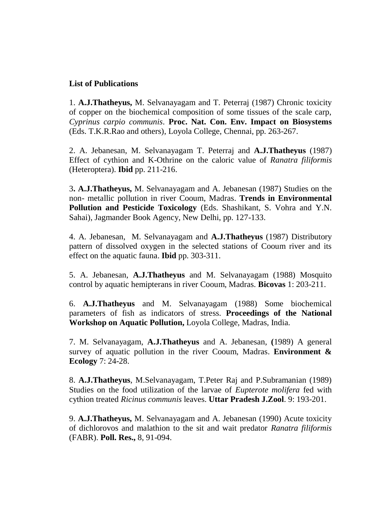## **List of Publications**

1. **A.J.Thatheyus,** M. Selvanayagam and T. Peterraj (1987) Chronic toxicity of copper on the biochemical composition of some tissues of the scale carp, *Cyprinus carpio communis*. **Proc. Nat. Con. Env. Impact on Biosystems** (Eds. T.K.R.Rao and others), Loyola College, Chennai, pp. 263-267.

2. A. Jebanesan, M. Selvanayagam T. Peterraj and **A.J.Thatheyus** (1987) Effect of cythion and K-Othrine on the caloric value of *Ranatra filiformis* (Heteroptera). **Ibid** pp. 211-216.

3**. A.J.Thatheyus,** M. Selvanayagam and A. Jebanesan (1987) Studies on the non- metallic pollution in river Cooum, Madras. **Trends in Environmental Pollution and Pesticide Toxicology** (Eds. Shashikant, S. Vohra and Y.N. Sahai), Jagmander Book Agency, New Delhi, pp. 127-133.

4. A. Jebanesan, M. Selvanayagam and **A.J.Thatheyus** (1987) Distributory pattern of dissolved oxygen in the selected stations of Cooum river and its effect on the aquatic fauna. **Ibid** pp. 303-311.

5. A. Jebanesan, **A.J.Thatheyus** and M. Selvanayagam (1988) Mosquito control by aquatic hemipterans in river Cooum, Madras. **Bicovas** 1: 203-211.

6. **A.J.Thatheyus** and M. Selvanayagam (1988) Some biochemical parameters of fish as indicators of stress. **Proceedings of the National Workshop on Aquatic Pollution,** Loyola College, Madras, India.

7. M. Selvanayagam, **A.J.Thatheyus** and A. Jebanesan, **(**1989) A general survey of aquatic pollution in the river Cooum, Madras. **Environment & Ecology** 7: 24-28.

8. **A.J.Thatheyus**, M.Selvanayagam, T.Peter Raj and P.Subramanian (1989) Studies on the food utilization of the larvae of *Eupterote molifera* fed with cythion treated *Ricinus communis* leaves. **Uttar Pradesh J.Zool**. 9: 193-201.

9. **A.J.Thatheyus,** M. Selvanayagam and A. Jebanesan (1990) Acute toxicity of dichlorovos and malathion to the sit and wait predator *Ranatra filiformis*  (FABR). **Poll. Res.,** 8, 91-094.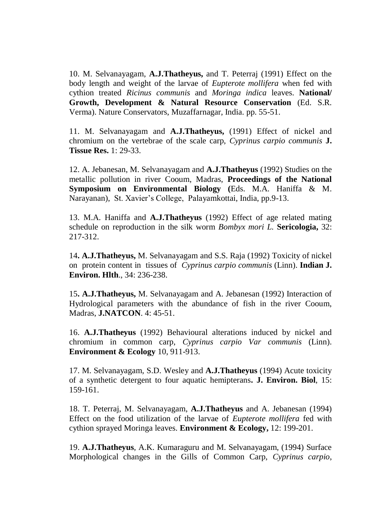10. M. Selvanayagam, **A.J.Thatheyus,** and T. Peterraj (1991) Effect on the body length and weight of the larvae of *Eupterote mollifera* when fed with cythion treated *Ricinus communis* and *Moringa indica* leaves. **National/ Growth, Development & Natural Resource Conservation** (Ed. S.R. Verma). Nature Conservators, Muzaffarnagar, India. pp. 55-51.

11. M. Selvanayagam and **A.J.Thatheyus,** (1991) Effect of nickel and chromium on the vertebrae of the scale carp, *Cyprinus carpio communis* **J. Tissue Res.** 1: 29-33.

12. A. Jebanesan, M. Selvanayagam and **A.J.Thatheyus** (1992) Studies on the metallic pollution in river Cooum, Madras, **Proceedings of the National Symposium on Environmental Biology (**Eds. M.A. Haniffa & M. Narayanan), St. Xavier"s College, Palayamkottai, India, pp.9-13.

13. M.A. Haniffa and **A.J.Thatheyus** (1992) Effect of age related mating schedule on reproduction in the silk worm *Bombyx mori L.* **Sericologia,** 32: 217-312.

14**. A.J.Thatheyus,** M. Selvanayagam and S.S. Raja (1992) Toxicity of nickel on protein content in tissues of *Cyprinus carpio communis* (Linn). **Indian J. Environ. Hlth**., 34: 236-238.

15**. A.J.Thatheyus,** M. Selvanayagam and A. Jebanesan (1992) Interaction of Hydrological parameters with the abundance of fish in the river Cooum, Madras, **J.NATCON**. 4: 45-51.

16. **A.J.Thatheyus** (1992) Behavioural alterations induced by nickel and chromium in common carp, *Cyprinus carpio Var communis* (Linn). **Environment & Ecology** 10, 911-913.

17. M. Selvanayagam, S.D. Wesley and **A.J.Thatheyus** (1994) Acute toxicity of a synthetic detergent to four aquatic hemipterans**. J. Environ. Biol**, 15: 159-161.

18. T. Peterraj, M. Selvanayagam, **A.J.Thatheyus** and A. Jebanesan (1994) Effect on the food utilization of the larvae of *Eupterote mollifera* fed with cythion sprayed Moringa leaves. **Environment & Ecology,** 12: 199-201.

19. **A.J.Thatheyus**, A.K. Kumaraguru and M. Selvanayagam, (1994) Surface Morphological changes in the Gills of Common Carp, *Cyprinus carpio*,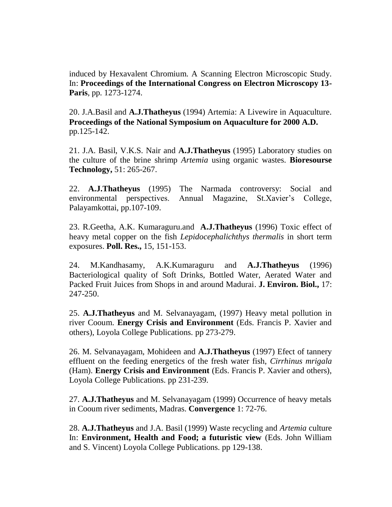induced by Hexavalent Chromium. A Scanning Electron Microscopic Study. In: **Proceedings of the International Congress on Electron Microscopy 13- Paris**, pp. 1273-1274.

20. J.A.Basil and **A.J.Thatheyus** (1994) Artemia: A Livewire in Aquaculture. **Proceedings of the National Symposium on Aquaculture for 2000 A.D.**  pp.125-142.

21. J.A. Basil, V.K.S. Nair and **A.J.Thatheyus** (1995) Laboratory studies on the culture of the brine shrimp *Artemia* using organic wastes. **Bioresourse Technology,** 51: 265-267.

22. **A.J.Thatheyus** (1995) The Narmada controversy: Social and environmental perspectives. Annual Magazine, St.Xavier's College, Palayamkottai, pp.107-109.

23. R.Geetha, A.K. Kumaraguru.and **A.J.Thatheyus** (1996) Toxic effect of heavy metal copper on the fish *Lepidocephalichthys thermalis* in short term exposures. **Poll. Res.,** 15, 151-153.

24. M.Kandhasamy, A.K.Kumaraguru and **A.J.Thatheyus** (1996) Bacteriological quality of Soft Drinks, Bottled Water, Aerated Water and Packed Fruit Juices from Shops in and around Madurai. **J. Environ. Biol.,** 17: 247-250.

25. **A.J.Thatheyus** and M. Selvanayagam, (1997) Heavy metal pollution in river Cooum. **Energy Crisis and Environment** (Eds. Francis P. Xavier and others), Loyola College Publications. pp 273-279.

26. M. Selvanayagam, Mohideen and **A.J.Thatheyus** (1997) Efect of tannery effluent on the feeding energetics of the fresh water fish, *Cirrhinus mrigala* (Ham). **Energy Crisis and Environment** (Eds. Francis P. Xavier and others), Loyola College Publications. pp 231-239.

27. **A.J.Thatheyus** and M. Selvanayagam (1999) Occurrence of heavy metals in Cooum river sediments, Madras. **Convergence** 1: 72-76.

28. **A.J.Thatheyus** and J.A. Basil (1999) Waste recycling and *Artemia* culture In: **Environment, Health and Food; a futuristic view** (Eds. John William and S. Vincent) Loyola College Publications. pp 129-138.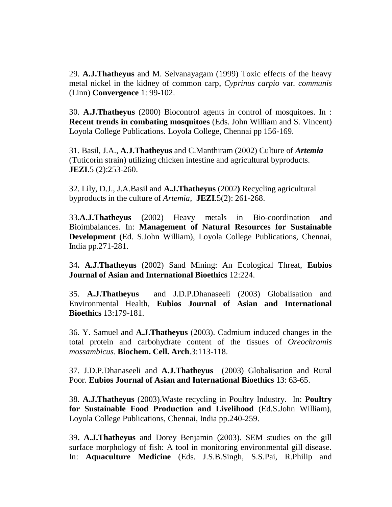29. **A.J.Thatheyus** and M. Selvanayagam (1999) Toxic effects of the heavy metal nickel in the kidney of common carp, *Cyprinus carpio* var*. communis*  (Linn) **Convergence** 1: 99-102.

30. **A.J.Thatheyus** (2000) Biocontrol agents in control of mosquitoes. In : **Recent trends in combating mosquitoes** (Eds. John William and S. Vincent) Loyola College Publications. Loyola College, Chennai pp 156-169.

31. Basil, J.A., **A.J.Thatheyus** and C.Manthiram (2002) Culture of *Artemia* (Tuticorin strain) utilizing chicken intestine and agricultural byproducts. **JEZI.**5 (2):253-260.

32. Lily, D.J., J.A.Basil and **A.J.Thatheyus** (2002**)** Recycling agricultural byproducts in the culture of *Artemia*, **JEZI**.5(2): 261-268.

33**.A.J.Thatheyus** (2002) Heavy metals in Bio-coordination and Bioimbalances. In: **Management of Natural Resources for Sustainable Development** (Ed. S.John William), Loyola College Publications, Chennai, India pp.271-281.

34**. A.J.Thatheyus** (2002) Sand Mining: An Ecological Threat, **Eubios Journal of Asian and International Bioethics** 12:224.

35. **A.J.Thatheyus** and J.D.P.Dhanaseeli (2003) Globalisation and Environmental Health, **Eubios Journal of Asian and International Bioethics** 13:179-181.

36. Y. Samuel and **A.J.Thatheyus** (2003). Cadmium induced changes in the total protein and carbohydrate content of the tissues of *Oreochromis mossambicus.* **Biochem. Cell. Arch**.3:113-118.

37. J.D.P.Dhanaseeli and **A.J.Thatheyus** (2003) Globalisation and Rural Poor. **Eubios Journal of Asian and International Bioethics** 13: 63-65.

38. **A.J.Thatheyus** (2003).Waste recycling in Poultry Industry. In: **Poultry for Sustainable Food Production and Livelihood** (Ed.S.John William), Loyola College Publications, Chennai, India pp.240-259.

39**. A.J.Thatheyus** and Dorey Benjamin (2003). SEM studies on the gill surface morphology of fish: A tool in monitoring environmental gill disease. In: **Aquaculture Medicine** (Eds. J.S.B.Singh, S.S.Pai, R.Philip and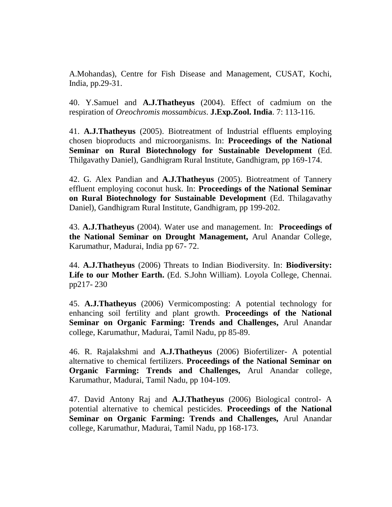A.Mohandas), Centre for Fish Disease and Management, CUSAT, Kochi, India, pp.29-31.

40. Y.Samuel and **A.J.Thatheyus** (2004). Effect of cadmium on the respiration of *Oreochromis mossambicus*. **J.Exp.Zool. India**. 7: 113-116.

41. **A.J.Thatheyus** (2005). Biotreatment of Industrial effluents employing chosen bioproducts and microorganisms. In: **Proceedings of the National Seminar on Rural Biotechnology for Sustainable Development** (Ed. Thilgavathy Daniel), Gandhigram Rural Institute, Gandhigram, pp 169-174.

42. G. Alex Pandian and **A.J.Thatheyus** (2005). Biotreatment of Tannery effluent employing coconut husk. In: **Proceedings of the National Seminar on Rural Biotechnology for Sustainable Development** (Ed. Thilagavathy Daniel), Gandhigram Rural Institute, Gandhigram, pp 199-202.

43. **A.J.Thatheyus** (2004). Water use and management. In: **Proceedings of the National Seminar on Drought Management,** Arul Anandar College, Karumathur, Madurai, India pp 67- 72.

44. **A.J.Thatheyus** (2006) Threats to Indian Biodiversity. In: **Biodiversity:**  Life to our Mother Earth. **(Ed. S.John William)**. Loyola College, Chennai. pp217- 230

45. **A.J.Thatheyus** (2006) Vermicomposting: A potential technology for enhancing soil fertility and plant growth. **Proceedings of the National Seminar on Organic Farming: Trends and Challenges,** Arul Anandar college, Karumathur, Madurai, Tamil Nadu, pp 85-89.

46. R. Rajalakshmi and **A.J.Thatheyus** (2006) Biofertilizer- A potential alternative to chemical fertilizers. **Proceedings of the National Seminar on Organic Farming: Trends and Challenges,** Arul Anandar college, Karumathur, Madurai, Tamil Nadu, pp 104-109.

47. David Antony Raj and **A.J.Thatheyus** (2006) Biological control- A potential alternative to chemical pesticides. **Proceedings of the National Seminar on Organic Farming: Trends and Challenges,** Arul Anandar college, Karumathur, Madurai, Tamil Nadu, pp 168-173.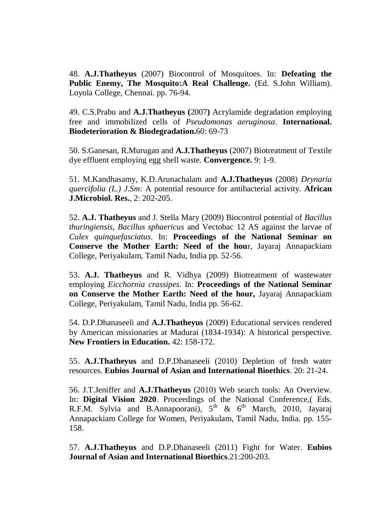48. **A.J.Thatheyus** (2007) Biocontrol of Mosquitoes. In: **Defeating the Public Enemy, The Mosquito:A Real Challenge.** (Ed. S.John William). Loyola College, Chennai. pp. 76-94.

49. C.S.Prabu and **A.J.Thatheyus (**2007**)** Acrylamide degradation employing free and immobilized cells of *Pseudomonas aeruginosa*. **International. Biodeterioration & Biodegradation.**60: 69-73

50. S.Ganesan, R.Murugan and **A.J.Thatheyus** (2007) Biotreatment of Textile dye effluent employing egg shell waste. **Convergence.** 9: 1-9.

51. M.Kandhasamy, K.D.Arunachalam and **A.J.Thatheyus** (2008) *Drynaria quercifolia (L.) J.Sm*: A potential resource for antibacterial activity. **African J.Microbiol. Res.**, 2: 202-205.

52. **A.J. Thatheyus** and J. Stella Mary (2009) Biocontrol potential of *Bacillus thuringiensis, Bacillus sphaericus* and Vectobac 12 AS against the larvae of *Culex quinquefasciatus*. In: **Proceedings of the National Seminar on Conserve the Mother Earth: Need of the hou**r, Jayaraj Annapackiam College, Periyakulam, Tamil Nadu, India pp. 52-56.

53. **A.J. Thatheyus** and R. Vidhya (2009) Biotreatment of wastewater employing *Eicchornia crassipes*. In: **Proceedings of the National Seminar on Conserve the Mother Earth: Need of the hour,** Jayaraj Annapackiam College, Periyakulam, Tamil Nadu, India pp. 56-62.

54. D.P.Dhanaseeli and **A.J.Thatheyus** (2009) Educational services rendered by American missionaries at Madurai (1834-1934): A historical perspective. **New Frontiers in Education.** 42: 158-172.

55. **A.J.Thatheyus** and D.P.Dhanaseeli (2010) Depletion of fresh water resources. **Eubios Journal of Asian and International Bioethics**. 20: 21-24.

56. J.T.Jeniffer and **A.J.Thatheyus** (2010) Web search tools: An Overview. In: **Digital Vision 2020**. Proceedings of the National Conference,( Eds. R.F.M. Sylvia and B.Annapoorani),  $5<sup>th</sup>$  &  $6<sup>th</sup>$  March, 2010, Jayaraj Annapackiam College for Women, Periyakulam, Tamil Nadu, India. pp. 155- 158.

57. **A.J.Thatheyus** and D.P.Dhanaseeli (2011) Fight for Water. **Eubios Journal of Asian and International Bioethics**.21:200-203.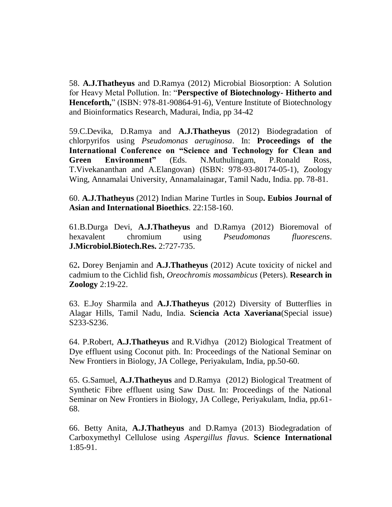58. **A.J.Thatheyus** and D.Ramya (2012) Microbial Biosorption: A Solution for Heavy Metal Pollution. In: "**Perspective of Biotechnology- Hitherto and Henceforth,**" (ISBN: 978-81-90864-91-6), Venture Institute of Biotechnology and Bioinformatics Research, Madurai, India, pp 34-42

59.C.Devika, D.Ramya and **A.J.Thatheyus** (2012) Biodegradation of chlorpyrifos using *Pseudomonas aeruginosa*. In: **Proceedings of the International Conference on "Science and Technology for Clean and Green Environment"** (Eds. N.Muthulingam, P.Ronald Ross, T.Vivekananthan and A.Elangovan) (ISBN: 978-93-80174-05-1), Zoology Wing, Annamalai University, Annamalainagar, Tamil Nadu, India. pp. 78-81.

60. **A.J.Thatheyus** (2012) Indian Marine Turtles in Soup**. Eubios Journal of Asian and International Bioethics**. 22:158-160.

61.B.Durga Devi, **A.J.Thatheyus** and D.Ramya (2012) Bioremoval of hexavalent chromium using *Pseudomonas fluorescens*. **J.Microbiol.Biotech.Res.** 2:727-735.

62**.** Dorey Benjamin and **A.J.Thatheyus** (2012) Acute toxicity of nickel and cadmium to the Cichlid fish, *Oreochromis mossambicus* (Peters). **Research in Zoology** 2:19-22.

63. E.Joy Sharmila and **A.J.Thatheyus** (2012) Diversity of Butterflies in Alagar Hills, Tamil Nadu, India. **Sciencia Acta Xaveriana**(Special issue) S233-S236.

64. P.Robert, **A.J.Thatheyus** and R.Vidhya (2012) Biological Treatment of Dye effluent using Coconut pith. In: Proceedings of the National Seminar on New Frontiers in Biology, JA College, Periyakulam, India, pp.50-60.

65. G.Samuel, **A.J.Thatheyus** and D.Ramya (2012) Biological Treatment of Synthetic Fibre effluent using Saw Dust. In: Proceedings of the National Seminar on New Frontiers in Biology, JA College, Periyakulam, India, pp.61- 68.

66. Betty Anita, **A.J.Thatheyus** and D.Ramya (2013) Biodegradation of Carboxymethyl Cellulose using *Aspergillus flavus*. **Science International** 1:85-91.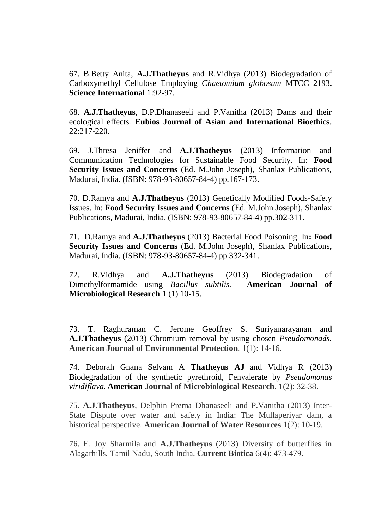67. B.Betty Anita, **A.J.Thatheyus** and R.Vidhya (2013) Biodegradation of Carboxymethyl Cellulose Employing *Chaetomium globosum* MTCC 2193. **Science International** 1:92-97.

68. **A.J.Thatheyus**, D.P.Dhanaseeli and P.Vanitha (2013) Dams and their ecological effects. **Eubios Journal of Asian and International Bioethics**. 22:217-220.

69. J.Thresa Jeniffer and **A.J.Thatheyus** (2013) Information and Communication Technologies for Sustainable Food Security. In: **Food Security Issues and Concerns** (Ed. M.John Joseph), Shanlax Publications, Madurai, India. (ISBN: 978-93-80657-84-4) pp.167-173.

70. D.Ramya and **A.J.Thatheyus** (2013) Genetically Modified Foods-Safety Issues. In: **Food Security Issues and Concerns** (Ed. M.John Joseph), Shanlax Publications, Madurai, India. (ISBN: 978-93-80657-84-4) pp.302-311.

71. D.Ramya and **A.J.Thatheyus** (2013) Bacterial Food Poisoning. In**: Food Security Issues and Concerns** (Ed. M.John Joseph), Shanlax Publications, Madurai, India. (ISBN: 978-93-80657-84-4) pp.332-341.

72. R.Vidhya and **A.J.Thatheyus** (2013) Biodegradation of Dimethylformamide using *Bacillus subtilis.* **American Journal of Microbiological Research** 1 (1) 10-15.

73. T. Raghuraman C. Jerome Geoffrey S. Suriyanarayanan and **A.J.Thatheyus** (2013) Chromium removal by using chosen *Pseudomonads.* **American Journal of Environmental Protection***.* 1(1): 14-16.

74. Deborah Gnana Selvam A **Thatheyus AJ** and Vidhya R (2013) Biodegradation of the synthetic pyrethroid, Fenvalerate by *Pseudomonas viridiflava.* **American Journal of Microbiological Research**. 1(2): 32-38.

75. **A.J.Thatheyus**, Delphin Prema Dhanaseeli and P.Vanitha (2013) Inter-State Dispute over water and safety in India: The Mullaperiyar dam, a historical perspective. **American Journal of Water Resources** 1(2): 10-19.

76. E. Joy Sharmila and **A.J.Thatheyus** (2013) Diversity of butterflies in Alagarhills, Tamil Nadu, South India. **Current Biotica** 6(4): 473-479.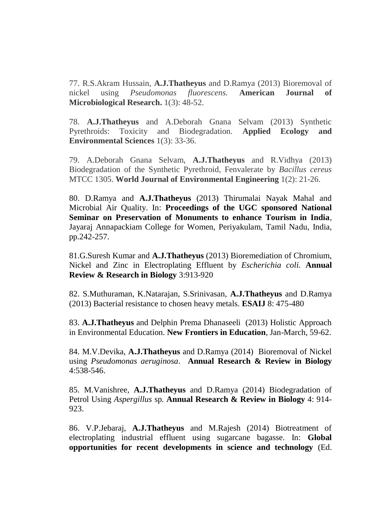77. R.S.Akram Hussain, **A.J.Thatheyus** and D.Ramya (2013) Bioremoval of nickel using *Pseudomonas fluorescens.* **American Journal of Microbiological Research.** 1(3): 48-52.

78. **A.J.Thatheyus** and A.Deborah Gnana Selvam (2013) Synthetic Pyrethroids: Toxicity and Biodegradation. **Applied Ecology and Environmental Sciences** 1(3): 33-36.

79. A.Deborah Gnana Selvam, **A.J.Thatheyus** and R.Vidhya (2013) Biodegradation of the Synthetic Pyrethroid, Fenvalerate by *Bacillus cereus* MTCC 1305. **World Journal of Environmental Engineering** 1(2): 21-26.

80. D.Ramya and **A.J.Thatheyus** (2013) Thirumalai Nayak Mahal and Microbial Air Quality. In: **Proceedings of the UGC sponsored National Seminar on Preservation of Monuments to enhance Tourism in India**, Jayaraj Annapackiam College for Women, Periyakulam, Tamil Nadu, India, pp.242-257.

81.G.Suresh Kumar and **A.J.Thatheyus** (2013) Bioremediation of Chromium, Nickel and Zinc in Electroplating Effluent by *Escherichia coli.* **Annual Review & Research in Biology** 3:913-920

82. S.Muthuraman, K.Natarajan, S.Srinivasan, **A.J.Thatheyus** and D.Ramya (2013) Bacterial resistance to chosen heavy metals. **ESAIJ** 8: 475-480

83. **A.J.Thatheyus** and Delphin Prema Dhanaseeli (2013) Holistic Approach in Environmental Education. **New Frontiers in Education**, Jan-March, 59-62.

84. M.V.Devika, **A.J.Thatheyus** and D.Ramya (2014) Bioremoval of Nickel using *Pseudomonas aeruginosa*. **Annual Research & Review in Biology** 4:538-546.

85. M.Vanishree, **A.J.Thatheyus** and D.Ramya (2014) Biodegradation of Petrol Using *Aspergillus* sp. **Annual Research & Review in Biology** 4: 914- 923.

86. V.P.Jebaraj, **A.J.Thatheyus** and M.Rajesh (2014) Biotreatment of electroplating industrial effluent using sugarcane bagasse. In: **Global opportunities for recent developments in science and technology** (Ed.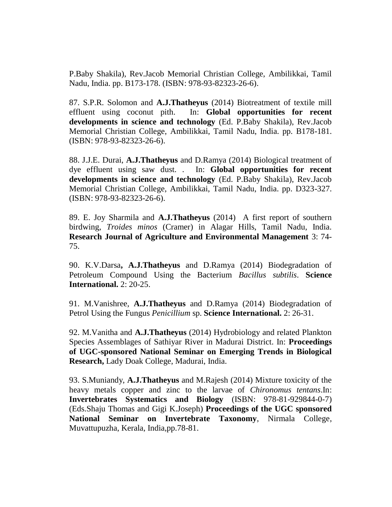P.Baby Shakila), Rev.Jacob Memorial Christian College, Ambilikkai, Tamil Nadu, India. pp. B173-178. (ISBN: 978-93-82323-26-6).

87. S.P.R. Solomon and **A.J.Thatheyus** (2014) Biotreatment of textile mill effluent using coconut pith. In: **Global opportunities for recent developments in science and technology** (Ed. P.Baby Shakila), Rev.Jacob Memorial Christian College, Ambilikkai, Tamil Nadu, India. pp. B178-181. (ISBN: 978-93-82323-26-6).

88. J.J.E. Durai, **A.J.Thatheyus** and D.Ramya (2014) Biological treatment of dye effluent using saw dust. . In: **Global opportunities for recent developments in science and technology** (Ed. P.Baby Shakila), Rev.Jacob Memorial Christian College, Ambilikkai, Tamil Nadu, India. pp. D323-327. (ISBN: 978-93-82323-26-6).

89. E. Joy Sharmila and **A.J.Thatheyus** (2014) A first report of southern birdwing, *Troides minos* (Cramer) in Alagar Hills, Tamil Nadu, India. **Research Journal of Agriculture and Environmental Management** 3: 74- 75.

90. K.V.Darsa**, A.J.Thatheyus** and D.Ramya (2014) Biodegradation of Petroleum Compound Using the Bacterium *Bacillus subtilis*. **Science International.** 2: 20-25.

91. M.Vanishree, **A.J.Thatheyus** and D.Ramya (2014) Biodegradation of Petrol Using the Fungus *Penicillium* sp. **Science International.** 2: 26-31.

92. M.Vanitha and **A.J.Thatheyus** (2014) Hydrobiology and related Plankton Species Assemblages of Sathiyar River in Madurai District. In: **Proceedings of UGC-sponsored National Seminar on Emerging Trends in Biological Research,** Lady Doak College, Madurai, India.

93. S.Muniandy, **A.J.Thatheyus** and M.Rajesh (2014) Mixture toxicity of the heavy metals copper and zinc to the larvae of *Chironomus tentans*.In: **Invertebrates Systematics and Biology** (ISBN: 978-81-929844-0-7) (Eds.Shaju Thomas and Gigi K.Joseph) **Proceedings of the UGC sponsored National Seminar on Invertebrate Taxonomy**, Nirmala College, Muvattupuzha, Kerala, India,pp.78-81.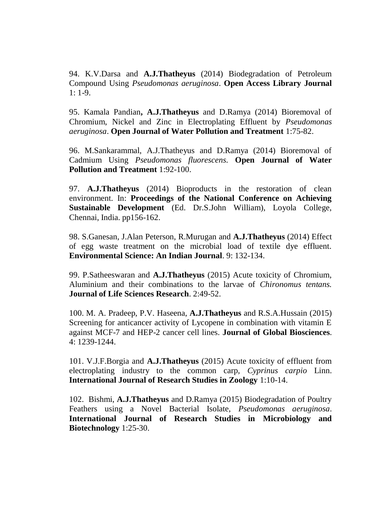94. K.V.Darsa and **A.J.Thatheyus** (2014) Biodegradation of Petroleum Compound Using *Pseudomonas aeruginosa*. **Open Access Library Journal**  $1: 1-9.$ 

95. Kamala Pandian**, A.J.Thatheyus** and D.Ramya (2014) Bioremoval of Chromium, Nickel and Zinc in Electroplating Effluent by *Pseudomonas aeruginosa*. **Open Journal of Water Pollution and Treatment** 1:75-82.

96. M.Sankarammal, A.J.Thatheyus and D.Ramya (2014) Bioremoval of Cadmium Using *Pseudomonas fluorescens.* **Open Journal of Water Pollution and Treatment** 1:92-100.

97. **A.J.Thatheyus** (2014) Bioproducts in the restoration of clean environment. In: **Proceedings of the National Conference on Achieving Sustainable Development** (Ed. Dr.S.John William), Loyola College, Chennai, India. pp156-162.

98. S.Ganesan, J.Alan Peterson, R.Murugan and **A.J.Thatheyus** (2014) Effect of egg waste treatment on the microbial load of textile dye effluent. **Environmental Science: An Indian Journal**. 9: 132-134.

99. P.Satheeswaran and **A.J.Thatheyus** (2015) Acute toxicity of Chromium, Aluminium and their combinations to the larvae of *Chironomus tentans.* **Journal of Life Sciences Research**. 2:49-52.

100. M. A. Pradeep, P.V. Haseena, **A.J.Thatheyus** and R.S.A.Hussain (2015) Screening for anticancer activity of Lycopene in combination with vitamin E against MCF-7 and HEP-2 cancer cell lines. **Journal of Global Biosciences**. 4: 1239-1244.

101. V.J.F.Borgia and **A.J.Thatheyus** (2015) Acute toxicity of effluent from electroplating industry to the common carp, *Cyprinus carpio* Linn. **International Journal of Research Studies in Zoology** 1:10-14.

102. Bishmi, **A.J.Thatheyus** and D.Ramya (2015) Biodegradation of Poultry Feathers using a Novel Bacterial Isolate, *Pseudomonas aeruginosa*. **International Journal of Research Studies in Microbiology and Biotechnology** 1:25-30.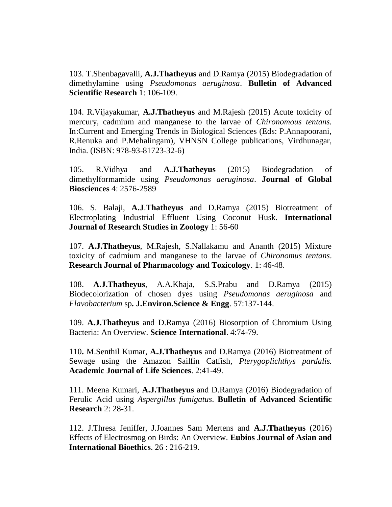103. T.Shenbagavalli, **A.J.Thatheyus** and D.Ramya (2015) Biodegradation of dimethylamine using *Pseudomonas aeruginosa*. **Bulletin of Advanced Scientific Research** 1: 106-109.

104. R.Vijayakumar, **A.J.Thatheyus** and M.Rajesh (2015) Acute toxicity of mercury, cadmium and manganese to the larvae of *Chironomous tentans.* In:Current and Emerging Trends in Biological Sciences (Eds: P.Annapoorani, R.Renuka and P.Mehalingam), VHNSN College publications, Virdhunagar, India. (ISBN: 978-93-81723-32-6)

105. R.Vidhya and **A.J.Thatheyus** (2015) Biodegradation of dimethylformamide using *Pseudomonas aeruginosa*. **Journal of Global Biosciences** 4: 2576-2589

106. S. Balaji, **A.J**.**Thatheyus** and D.Ramya (2015) Biotreatment of Electroplating Industrial Effluent Using Coconut Husk. **International Journal of Research Studies in Zoology** 1: 56-60

107. **A.J.Thatheyus**, M.Rajesh, S.Nallakamu and Ananth (2015) Mixture toxicity of cadmium and manganese to the larvae of *Chironomus tentans*. **Research Journal of Pharmacology and Toxicology**. 1: 46-48.

108. **A.J.Thatheyus**, A.A.Khaja, S.S.Prabu and D.Ramya (2015) Biodecolorization of chosen dyes using *Pseudomonas aeruginosa* and *Flavobacterium* sp**. J.Environ.Science & Engg**. 57:137-144.

109. **A.J.Thatheyus** and D.Ramya (2016) Biosorption of Chromium Using Bacteria: An Overview. **Science International**. 4:74-79.

110**.** M.Senthil Kumar, **A.J.Thatheyus** and D.Ramya (2016) Biotreatment of Sewage using the Amazon Sailfin Catfish, *Pterygoplichthys pardalis.*  **Academic Journal of Life Sciences**. 2:41-49.

111. Meena Kumari, **A.J.Thatheyus** and D.Ramya (2016) Biodegradation of Ferulic Acid using *Aspergillus fumigatus*. **Bulletin of Advanced Scientific Research** 2: 28-31.

112. J.Thresa Jeniffer, J.Joannes Sam Mertens and **A.J.Thatheyus** (2016) Effects of Electrosmog on Birds: An Overview. **Eubios Journal of Asian and International Bioethics**. 26 : 216-219.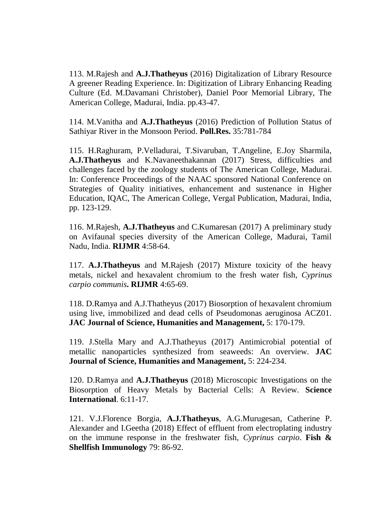113. M.Rajesh and **A.J.Thatheyus** (2016) Digitalization of Library Resource A greener Reading Experience. In: Digitization of Library Enhancing Reading Culture (Ed. M.Davamani Christober), Daniel Poor Memorial Library, The American College, Madurai, India. pp.43-47.

114. M.Vanitha and **A.J.Thatheyus** (2016) Prediction of Pollution Status of Sathiyar River in the Monsoon Period. **Poll.Res.** 35:781-784

115. H.Raghuram, P.Velladurai, T.Sivaruban, T.Angeline, E.Joy Sharmila, **A.J.Thatheyus** and K.Navaneethakannan (2017) Stress, difficulties and challenges faced by the zoology students of The American College, Madurai. In: Conference Proceedings of the NAAC sponsored National Conference on Strategies of Quality initiatives, enhancement and sustenance in Higher Education, IQAC, The American College, Vergal Publication, Madurai, India, pp. 123-129.

116. M.Rajesh, **A.J.Thatheyus** and C.Kumaresan (2017) A preliminary study on Avifaunal species diversity of the American College, Madurai, Tamil Nadu, India. **RIJMR** 4:58-64.

117. **A.J.Thatheyus** and M.Rajesh (2017) Mixture toxicity of the heavy metals, nickel and hexavalent chromium to the fresh water fish, *Cyprinus carpio communis***. RIJMR** 4:65-69.

118. D.Ramya and A.J.Thatheyus (2017) Biosorption of hexavalent chromium using live, immobilized and dead cells of Pseudomonas aeruginosa ACZ01. **JAC Journal of Science, Humanities and Management,** 5: 170-179.

119. J.Stella Mary and A.J.Thatheyus (2017) Antimicrobial potential of metallic nanoparticles synthesized from seaweeds: An overview. **JAC Journal of Science, Humanities and Management,** 5: 224-234.

120. D.Ramya and **A.J.Thatheyus** (2018) Microscopic Investigations on the Biosorption of Heavy Metals by Bacterial Cells: A Review. **Science International**. 6:11-17.

121. V.J.Florence Borgia, **A.J.Thatheyus**, A.G.Murugesan, Catherine P. Alexander and I.Geetha (2018) Effect of effluent from electroplating industry on the immune response in the freshwater fish, *Cyprinus carpio*. **Fish & Shellfish Immunology** 79: 86-92.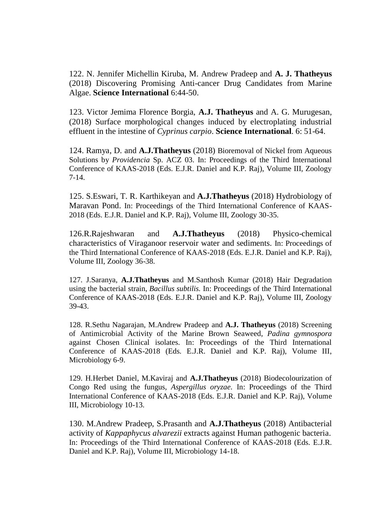122. N. Jennifer Michellin Kiruba, M. Andrew Pradeep and **A. J. Thatheyus** (2018) Discovering Promising Anti-cancer Drug Candidates from Marine Algae. **Science International** 6:44-50.

123. Victor Jemima Florence Borgia, **A.J. Thatheyus** and A. G. Murugesan, (2018) Surface morphological changes induced by electroplating industrial effluent in the intestine of *Cyprinus carpio*. **Science International**. 6: 51-64.

124. Ramya, D. and **A.J.Thatheyus** (2018) Bioremoval of Nickel from Aqueous Solutions by *Providencia* Sp. ACZ 03. In: Proceedings of the Third International Conference of KAAS-2018 (Eds. E.J.R. Daniel and K.P. Raj), Volume III, Zoology 7-14.

125. S.Eswari, T. R. Karthikeyan and **A.J.Thatheyus** (2018) Hydrobiology of Maravan Pond. In: Proceedings of the Third International Conference of KAAS-2018 (Eds. E.J.R. Daniel and K.P. Raj), Volume III, Zoology 30-35.

126.R.Rajeshwaran and **A.J.Thatheyus** (2018) Physico-chemical characteristics of Viraganoor reservoir water and sediments. In: Proceedings of the Third International Conference of KAAS-2018 (Eds. E.J.R. Daniel and K.P. Raj), Volume III, Zoology 36-38.

127. J.Saranya, **A.J.Thatheyus** and M.Santhosh Kumar (2018) Hair Degradation using the bacterial strain, *Bacillus subtilis.* In: Proceedings of the Third International Conference of KAAS-2018 (Eds. E.J.R. Daniel and K.P. Raj), Volume III, Zoology 39-43.

128. R.Sethu Nagarajan, M.Andrew Pradeep and **A.J. Thatheyus** (2018) Screening of Antimicrobial Activity of the Marine Brown Seaweed, *Padina gymnospora* against Chosen Clinical isolates. In: Proceedings of the Third International Conference of KAAS-2018 (Eds. E.J.R. Daniel and K.P. Raj), Volume III, Microbiology 6-9.

129. H.Herbet Daniel, M.Kaviraj and **A.J.Thatheyus** (2018) Biodecolourization of Congo Red using the fungus*, Aspergillus oryzae.* In: Proceedings of the Third International Conference of KAAS-2018 (Eds. E.J.R. Daniel and K.P. Raj), Volume III, Microbiology 10-13.

130. M.Andrew Pradeep, S.Prasanth and **A.J.Thatheyus** (2018) Antibacterial activity of *Kappaphycus alvarezii* extracts against Human pathogenic bacteria. In: Proceedings of the Third International Conference of KAAS-2018 (Eds. E.J.R. Daniel and K.P. Raj), Volume III, Microbiology 14-18.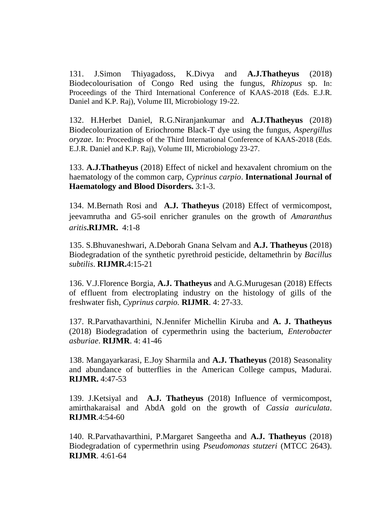131. J.Simon Thiyagadoss, K.Divya and **A.J.Thatheyus** (2018) Biodecolourisation of Congo Red using the fungus, *Rhizopus* sp. In: Proceedings of the Third International Conference of KAAS-2018 (Eds. E.J.R. Daniel and K.P. Raj), Volume III, Microbiology 19-22.

132. H.Herbet Daniel, R.G.Niranjankumar and **A.J.Thatheyus** (2018) Biodecolourization of Eriochrome Black-T dye using the fungus, *Aspergillus oryzae.* In: Proceedings of the Third International Conference of KAAS-2018 (Eds. E.J.R. Daniel and K.P. Raj), Volume III, Microbiology 23-27.

133. **A.J.Thatheyus** (2018) Effect of nickel and hexavalent chromium on the haematology of the common carp, *Cyprinus carpio*. **International Journal of Haematology and Blood Disorders.** 3:1-3.

134. M.Bernath Rosi and **A.J. Thatheyus** (2018) Effect of vermicompost, jeevamrutha and G5-soil enricher granules on the growth of *Amaranthus aritis***.RIJMR.** 4:1-8

135. S.Bhuvaneshwari, A.Deborah Gnana Selvam and **A.J. Thatheyus** (2018) Biodegradation of the synthetic pyrethroid pesticide, deltamethrin by *Bacillus subtilis*. **RIJMR.**4:15-21

136. V.J.Florence Borgia, **A.J. Thatheyus** and A.G.Murugesan (2018) Effects of effluent from electroplating industry on the histology of gills of the freshwater fish, *Cyprinus carpio.* **RIJMR**. 4: 27-33.

137. R.Parvathavarthini, N.Jennifer Michellin Kiruba and **A. J. Thatheyus** (2018) Biodegradation of cypermethrin using the bacterium, *Enterobacter asburiae*. **RIJMR**. 4: 41-46

138. Mangayarkarasi, E.Joy Sharmila and **A.J. Thatheyus** (2018) Seasonality and abundance of butterflies in the American College campus, Madurai. **RIJMR.** 4:47-53

139. J.Ketsiyal and **A.J. Thatheyus** (2018) Influence of vermicompost, amirthakaraisal and AbdA gold on the growth of *Cassia auriculata*. **RIJMR**.4:54-60

140. R.Parvathavarthini, P.Margaret Sangeetha and **A.J. Thatheyus** (2018) Biodegradation of cypermethrin using *Pseudomonas stutzeri* (MTCC 2643). **RIJMR**. 4:61-64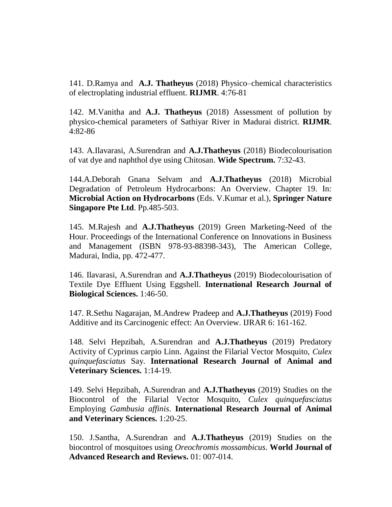141. D.Ramya and **A.J. Thatheyus** (2018) Physico–chemical characteristics of electroplating industrial effluent. **RIJMR**. 4:76-81

142. M.Vanitha and **A.J. Thatheyus** (2018) Assessment of pollution by physico-chemical parameters of Sathiyar River in Madurai district. **RIJMR**. 4:82-86

143. A.Ilavarasi, A.Surendran and **A.J.Thatheyus** (2018) Biodecolourisation of vat dye and naphthol dye using Chitosan. **Wide Spectrum.** 7:32-43.

144.A.Deborah Gnana Selvam and **A.J.Thatheyus** (2018) Microbial Degradation of Petroleum Hydrocarbons: An Overview. Chapter 19. In: **Microbial Action on Hydrocarbons** (Eds. V.Kumar et al.), **Springer Nature Singapore Pte Ltd**. Pp.485-503.

145. M.Rajesh and **A.J.Thatheyus** (2019) Green Marketing-Need of the Hour. Proceedings of the International Conference on Innovations in Business and Management (ISBN 978-93-88398-343), The American College, Madurai, India, pp. 472-477.

146. Ilavarasi, A.Surendran and **A.J.Thatheyus** (2019) Biodecolourisation of Textile Dye Effluent Using Eggshell. **International Research Journal of Biological Sciences.** 1:46-50.

147. R.Sethu Nagarajan, M.Andrew Pradeep and **A.J.Thatheyus** (2019) Food Additive and its Carcinogenic effect: An Overview. IJRAR 6: 161-162.

148. Selvi Hepzibah, A.Surendran and **A.J.Thatheyus** (2019) Predatory Activity of Cyprinus carpio Linn. Against the Filarial Vector Mosquito, *Culex quinquefasciatus* Say. **International Research Journal of Animal and Veterinary Sciences.** 1:14-19.

149. Selvi Hepzibah, A.Surendran and **A.J.Thatheyus** (2019) Studies on the Biocontrol of the Filarial Vector Mosquito, *Culex quinquefasciatus*  Employing *Gambusia affinis*. **International Research Journal of Animal and Veterinary Sciences.** 1:20-25.

150. J.Santha, A.Surendran and **A.J.Thatheyus** (2019) Studies on the biocontrol of mosquitoes using *Oreochromis mossambicus*. **World Journal of Advanced Research and Reviews.** 01: 007-014.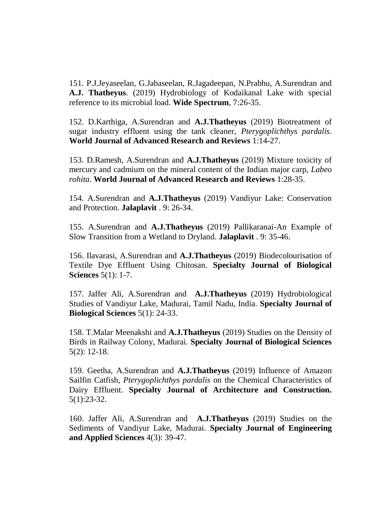151. P.J.Jeyaseelan, G.Jabaseelan, R.Jagadeepan, N.Prabhu, A.Surendran and **A.J. Thatheyus**. (2019) Hydrobiology of Kodaikanal Lake with special reference to its microbial load. **Wide Spectrum**, 7:26-35.

152. D.Karthiga, A.Surendran and **A.J.Thatheyus** (2019) Biotreatment of sugar industry effluent using the tank cleaner, *Pterygoplichthys pardalis*. **World Journal of Advanced Research and Reviews** 1:14-27.

153. D.Ramesh, A.Surendran and **A.J.Thatheyus** (2019) Mixture toxicity of mercury and cadmium on the mineral content of the Indian major carp, *Labeo rohita.* **World Journal of Advanced Research and Reviews** 1:28-35.

154. A.Surendran and **A.J.Thatheyus** (2019) Vandiyur Lake: Conservation and Protection. **Jalaplavit** . 9: 26-34.

155. A.Surendran and **A.J.Thatheyus** (2019) Pallikaranai-An Example of Slow Transition from a Wetland to Dryland. **Jalaplavit** . 9: 35-46.

156. Ilavarasi, A.Surendran and **A.J.Thatheyus** (2019) Biodecolourisation of Textile Dye Effluent Using Chitosan. **Specialty Journal of Biological Sciences** 5(1): 1-7.

157. Jaffer Ali, A.Surendran and **A.J.Thatheyus** (2019) Hydrobiological Studies of Vandiyur Lake, Madurai, Tamil Nadu, India. **Specialty Journal of Biological Sciences** 5(1): 24-33.

158. T.Malar Meenakshi and **A.J.Thatheyus** (2019) Studies on the Density of Birds in Railway Colony, Madurai. **Specialty Journal of Biological Sciences** 5(2): 12-18.

159. Geetha, A.Surendran and **A.J.Thatheyus** (2019) Influence of Amazon Sailfin Catfish, *Pterygoplichthys pardalis* on the Chemical Characteristics of Dairy Effluent. **Specialty Journal of Architecture and Construction.**  5(1):23-32.

160. Jaffer Ali, A.Surendran and **A.J.Thatheyus** (2019) Studies on the Sediments of Vandiyur Lake, Madurai. **Specialty Journal of Engineering and Applied Sciences** 4(3): 39-47.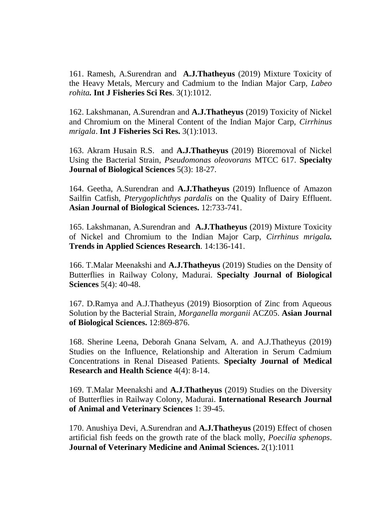161. Ramesh, A.Surendran and **A.J.Thatheyus** (2019) Mixture Toxicity of the Heavy Metals, Mercury and Cadmium to the Indian Major Carp, *Labeo rohita.* **Int J Fisheries Sci Res**. 3(1):1012.

162. Lakshmanan, A.Surendran and **A.J.Thatheyus** (2019) Toxicity of Nickel and Chromium on the Mineral Content of the Indian Major Carp, *Cirrhinus mrigala*. **Int J Fisheries Sci Res.** 3(1):1013.

163. Akram Husain R.S. and **A.J.Thatheyus** (2019) Bioremoval of Nickel Using the Bacterial Strain, *Pseudomonas oleovorans* MTCC 617. **Specialty Journal of Biological Sciences** 5(3): 18-27.

164. Geetha, A.Surendran and **A.J.Thatheyus** (2019) Influence of Amazon Sailfin Catfish, *Pterygoplichthys pardalis* on the Quality of Dairy Effluent. **Asian Journal of Biological Sciences.** 12:733-741.

165. Lakshmanan, A.Surendran and **A.J.Thatheyus** (2019) Mixture Toxicity of Nickel and Chromium to the Indian Major Carp, *Cirrhinus mrigala.* **Trends in Applied Sciences Research**. 14:136-141.

166. T.Malar Meenakshi and **A.J.Thatheyus** (2019) Studies on the Density of Butterflies in Railway Colony, Madurai. **Specialty Journal of Biological Sciences** 5(4): 40-48.

167. D.Ramya and A.J.Thatheyus (2019) Biosorption of Zinc from Aqueous Solution by the Bacterial Strain, *Morganella morganii* ACZ05. **Asian Journal of Biological Sciences.** 12:869-876.

168. Sherine Leena, Deborah Gnana Selvam, A. and A.J.Thatheyus (2019) Studies on the Influence, Relationship and Alteration in Serum Cadmium Concentrations in Renal Diseased Patients. **Specialty Journal of Medical Research and Health Science** 4(4): 8-14.

169. T.Malar Meenakshi and **A.J.Thatheyus** (2019) Studies on the Diversity of Butterflies in Railway Colony, Madurai. **International Research Journal of Animal and Veterinary Sciences** 1: 39-45.

170. Anushiya Devi, A.Surendran and **A.J.Thatheyus** (2019) Effect of chosen artificial fish feeds on the growth rate of the black molly, *Poecilia sphenops*. **Journal of Veterinary Medicine and Animal Sciences.** 2(1):1011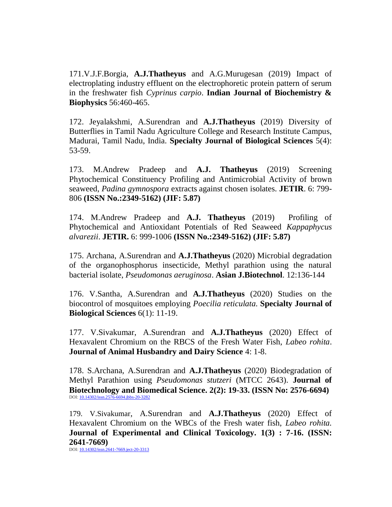171.V.J.F.Borgia, **A.J.Thatheyus** and A.G.Murugesan (2019) Impact of electroplating industry effluent on the electrophoretic protein pattern of serum in the freshwater fish *Cyprinus carpio*. **Indian Journal of Biochemistry & Biophysics** 56:460-465.

172. Jeyalakshmi, A.Surendran and **A.J.Thatheyus** (2019) Diversity of Butterflies in Tamil Nadu Agriculture College and Research Institute Campus, Madurai, Tamil Nadu, India. **Specialty Journal of Biological Sciences** 5(4): 53-59.

173. M.Andrew Pradeep and **A.J. Thatheyus** (2019) Screening Phytochemical Constituency Profiling and Antimicrobial Activity of brown seaweed, *Padina gymnospora* extracts against chosen isolates. **JETIR**. 6: 799- 806 **(ISSN No.:2349-5162) (JIF: 5.87)**

174. M.Andrew Pradeep and **A.J. Thatheyus** (2019) Profiling of Phytochemical and Antioxidant Potentials of Red Seaweed *Kappaphycus alvarezii*. **JETIR.** 6: 999-1006 **(ISSN No.:2349-5162) (JIF: 5.87)**

175. Archana, A.Surendran and **A.J.Thatheyus** (2020) Microbial degradation of the organophosphorus insecticide, Methyl parathion using the natural bacterial isolate, *Pseudomonas aeruginosa*. **Asian J.Biotechnol**. 12:136-144

176. V.Santha, A.Surendran and **A.J.Thatheyus** (2020) Studies on the biocontrol of mosquitoes employing *Poecilia reticulata.* **Specialty Journal of Biological Sciences** 6(1): 11-19.

177. V.Sivakumar, A.Surendran and **A.J.Thatheyus** (2020) Effect of Hexavalent Chromium on the RBCS of the Fresh Water Fish, *Labeo rohita*. **Journal of Animal Husbandry and Dairy Science** 4: 1-8.

178. S.Archana, A.Surendran and **A.J.Thatheyus** (2020) Biodegradation of Methyl Parathion using *Pseudomonas stutzeri* (MTCC 2643). **Journal of Biotechnology and Biomedical Science. 2(2): 19-33. (ISSN No: 2576-6694)** DOI: [10.14302/issn.2576-6694.jbbs-20-3282](https://doi.org/10.14302/issn.2576-6694.jbbs-20-3282)

179. V.Sivakumar, A.Surendran and **A.J.Thatheyus** (2020) Effect of Hexavalent Chromium on the WBCs of the Fresh water fish, *Labeo rohita.* **Journal of Experimental and Clinical Toxicology. 1(3) : 7-16. (ISSN: 2641-7669)**

DOI: [10.14302/issn.2641-7669.ject-20-3313](https://doi.org/10.14302/issn.2641-7669.ject-20-3313)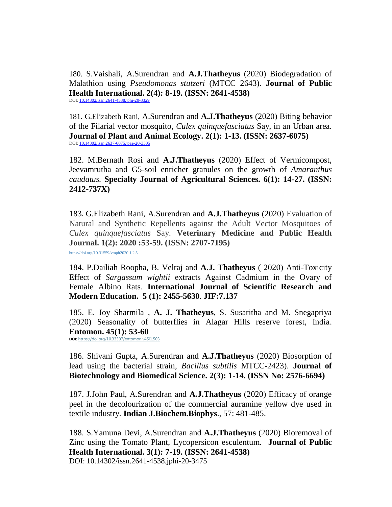180. S.Vaishali, A.Surendran and **A.J.Thatheyus** (2020) Biodegradation of Malathion using *Pseudomonas stutzeri* (MTCC 2643). **Journal of Public Health International. 2(4): 8-19. (ISSN: 2641-4538)**  DOI: [10.14302/issn.2641-4538.jphi-20-3329](https://doi.org/10.14302/issn.2641-4538.jphi-20-3329)

181. G.Elizabeth Rani, A.Surendran and **A.J.Thatheyus** (2020) Biting behavior of the Filarial vector mosquito, *Culex quinquefasciatus* Say, in an Urban area. **Journal of Plant and Animal Ecology. 2(1): 1-13. (ISSN: 2637-6075)** DOI: [10.14302/issn.2637-6075.jpae-20-3305](https://doi.org/10.14302/issn.2637-6075.jpae-20-3305)

182. M.Bernath Rosi and **A.J.Thatheyus** (2020) Effect of Vermicompost, Jeevamrutha and G5-soil enricher granules on the growth of *Amaranthus caudatus.* **Specialty Journal of Agricultural Sciences. 6(1): 14-27. (ISSN: 2412-737X)**

183. G.Elizabeth Rani, A.Surendran and **A.J.Thatheyus** (2020) Evaluation of Natural and Synthetic Repellents against the Adult Vector Mosquitoes of *Culex quinquefasciatus* Say. **Veterinary Medicine and Public Health Journal. 1(2): 2020 :53-59. (ISSN: 2707-7195)** [https://doi.org/10.31559/vmph2020.1.2.5](http://www.refaad.com/Files/VMPH/VMPH-1-2-5.pdf)

184. P.Dailiah Roopha, B. Velraj and **A.J. Thatheyus** ( 2020) Anti-Toxicity Effect of *Sargassum wightii* extracts Against Cadmium in the Ovary of Female Albino Rats. **International Journal of Scientific Research and Modern Education. 5 (1): 2455-5630**. **JIF:7.137**

185. E. Joy Sharmila , **A. J. Thatheyus**, S. Susaritha and M. Snegapriya (2020) Seasonality of butterflies in Alagar Hills reserve forest, India. **Entomon. 45(1): 53-60 DOI:** <https://doi.org/10.33307/entomon.v45i1.503>

186. Shivani Gupta, A.Surendran and **A.J.Thatheyus** (2020) Biosorption of lead using the bacterial strain, *Bacillus subtilis* MTCC-2423). **Journal of Biotechnology and Biomedical Science. 2(3): 1-14. (ISSN No: 2576-6694)**

187. J.John Paul, A.Surendran and **A.J.Thatheyus** (2020) Efficacy of orange peel in the decolourization of the commercial auramine yellow dye used in textile industry. **Indian J.Biochem.Biophys**., 57: 481-485.

188. S.Yamuna Devi, A.Surendran and **A.J.Thatheyus** (2020) Bioremoval of Zinc using the Tomato Plant, Lycopersicon esculentum. **Journal of Public Health International. 3(1): 7-19. (ISSN: 2641-4538)**  DOI: 10.14302/issn.2641-4538.jphi-20-3475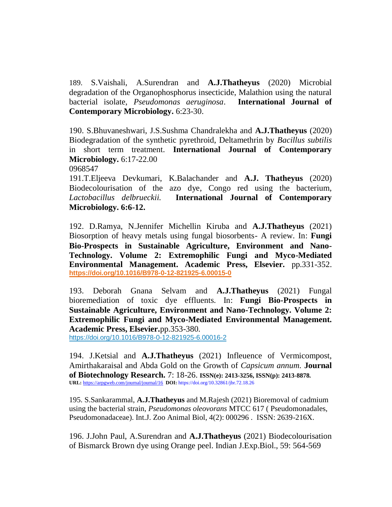189. S.Vaishali, A.Surendran and **A.J.Thatheyus** (2020) Microbial degradation of the Organophosphorus insecticide, Malathion using the natural bacterial isolate, *Pseudomonas aeruginosa*. **International Journal of Contemporary Microbiology.** 6:23-30.

190. S.Bhuvaneshwari, J.S.Sushma Chandralekha and **A.J.Thatheyus** (2020) Biodegradation of the synthetic pyrethroid, Deltamethrin by *Bacillus subtilis* in short term treatment. **International Journal of Contemporary Microbiology.** 6:17-22.00

0968547

191.T.Eljeeva Devkumari, K.Balachander and **A.J. Thatheyus** (2020) Biodecolourisation of the azo dye, Congo red using the bacterium, *Lactobacillus delbrueckii.* **International Journal of Contemporary Microbiology. 6:6-12.**

192. D.Ramya, N.Jennifer Michellin Kiruba and **A.J.Thatheyus** (2021) Biosorption of heavy metals using fungal biosorbents- A review. In: **Fungi Bio-Prospects in Sustainable Agriculture, Environment and Nano-Technology. Volume 2: Extremophilic Fungi and Myco-Mediated Environmental Management. Academic Press, Elsevier.** pp.331-352. **<https://doi.org/10.1016/B978-0-12-821925-6.00015-0>**

193. Deborah Gnana Selvam and **A.J.Thatheyus** (2021) Fungal bioremediation of toxic dye effluents. In: **Fungi Bio-Prospects in Sustainable Agriculture, Environment and Nano-Technology. Volume 2: Extremophilic Fungi and Myco-Mediated Environmental Management. Academic Press, Elsevier.**pp.353-380.

<https://doi.org/10.1016/B978-0-12-821925-6.00016-2>

194. J.Ketsial and **A.J.Thatheyus** (2021) Infleuence of Vermicompost, Amirthakaraisal and Abda Gold on the Growth of *Capsicum annum.* **Journal of Biotechnology Research.** 7: 18-26. **ISSN(e): 2413-3256, ISSN(p): 2413-8878. URL:** <https://arpgweb.com/journal/journal/16>**DOI:** https://doi.org/10.32861/jbr.72.18.26

195. S.Sankarammal, **A.J.Thatheyus** and M.Rajesh (2021) Bioremoval of cadmium using the bacterial strain, *Pseudomonas oleovorans* MTCC 617 ( Pseudomonadales, Pseudomonadaceae). Int.J. Zoo Animal Biol, 4(2): 000296 . ISSN: 2639-216X.

196. J.John Paul, A.Surendran and **A.J.Thatheyus** (2021) Biodecolourisation of Bismarck Brown dye using Orange peel. Indian J.Exp.Biol., 59: 564-569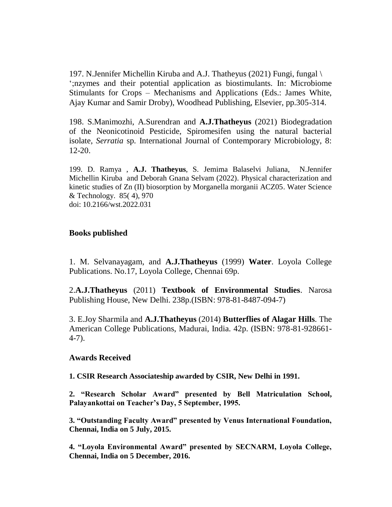197. N.Jennifer Michellin Kiruba and A.J. Thatheyus (2021) Fungi, fungal \ ";nzymes and their potential application as biostimulants. In: Microbiome Stimulants for Crops – Mechanisms and Applications (Eds.: James White, Ajay Kumar and Samir Droby), Woodhead Publishing, Elsevier, pp.305-314.

198. S.Manimozhi, A.Surendran and **A.J.Thatheyus** (2021) Biodegradation of the Neonicotinoid Pesticide, Spiromesifen using the natural bacterial isolate, *Serratia* sp. International Journal of Contemporary Microbiology, 8: 12-20.

199. D. Ramya , **A.J. Thatheyus**, S. Jemima Balaselvi Juliana, N.Jennifer Michellin Kiruba and Deborah Gnana Selvam (2022). Physical characterization and kinetic studies of Zn (II) biosorption by Morganella morganii ACZ05. Water Science & Technology. 85( 4), 970 doi: 10.2166/wst.2022.031

#### **Books published**

1. M. Selvanayagam, and **A.J.Thatheyus** (1999) **Water**. Loyola College Publications. No.17, Loyola College, Chennai 69p.

2.**A.J.Thatheyus** (2011) **Textbook of Environmental Studies**. Narosa Publishing House, New Delhi. 238p.(ISBN: 978-81-8487-094-7)

3. E.Joy Sharmila and **A.J.Thatheyus** (2014) **Butterflies of Alagar Hills**. The American College Publications, Madurai, India. 42p. (ISBN: 978-81-928661- 4-7).

#### **Awards Received**

**1. CSIR Research Associateship awarded by CSIR, New Delhi in 1991.**

**2. "Research Scholar Award" presented by Bell Matriculation School, Palayankottai on Teacher's Day, 5 September, 1995.**

**3. "Outstanding Faculty Award" presented by Venus International Foundation, Chennai, India on 5 July, 2015.**

**4. "Loyola Environmental Award" presented by SECNARM, Loyola College, Chennai, India on 5 December, 2016.**